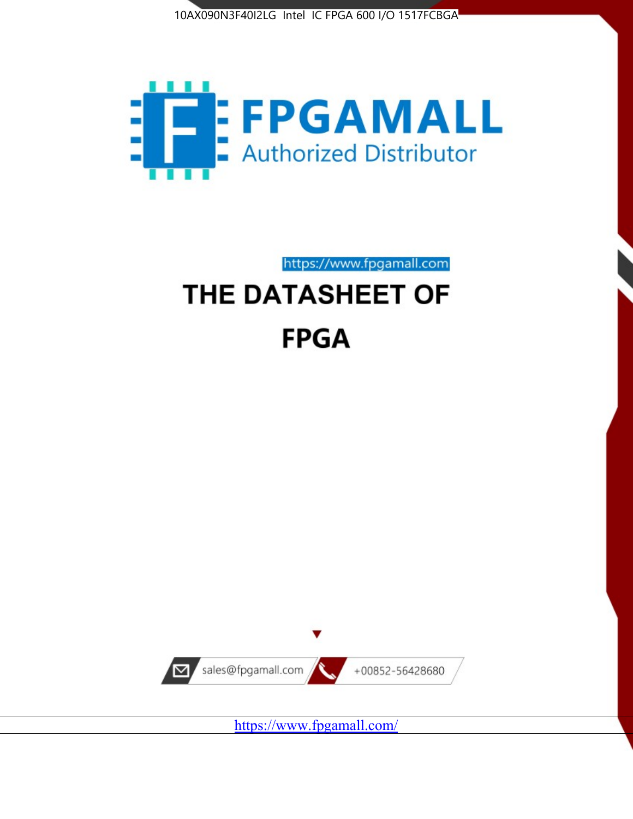



https://www.fpgamall.com

# THE DATASHEET OF **FPGA**



<https://www.fpgamall.com/>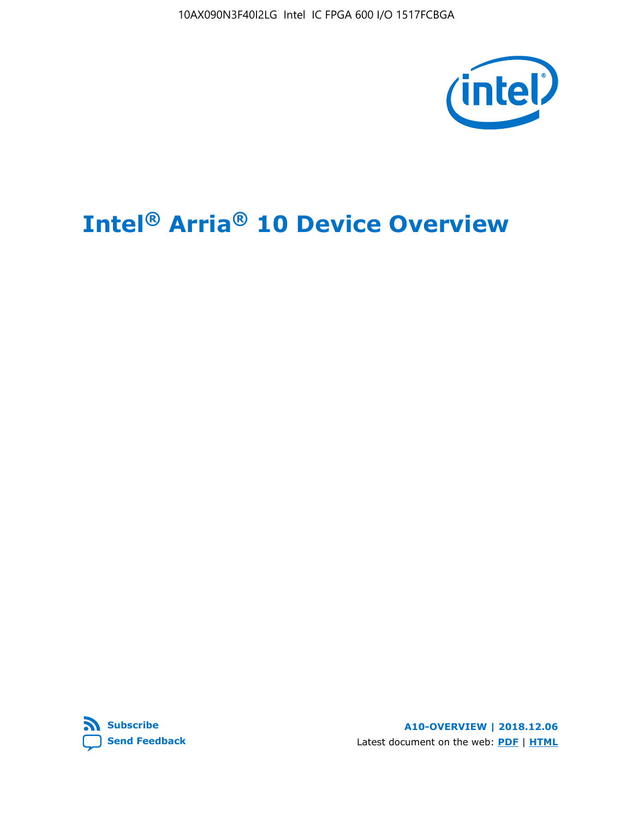10AX090N3F40I2LG Intel IC FPGA 600 I/O 1517FCBGA



# **Intel® Arria® 10 Device Overview**



**A10-OVERVIEW | 2018.12.06** Latest document on the web: **[PDF](https://www.intel.com/content/dam/www/programmable/us/en/pdfs/literature/hb/arria-10/a10_overview.pdf)** | **[HTML](https://www.intel.com/content/www/us/en/programmable/documentation/sam1403480274650.html)**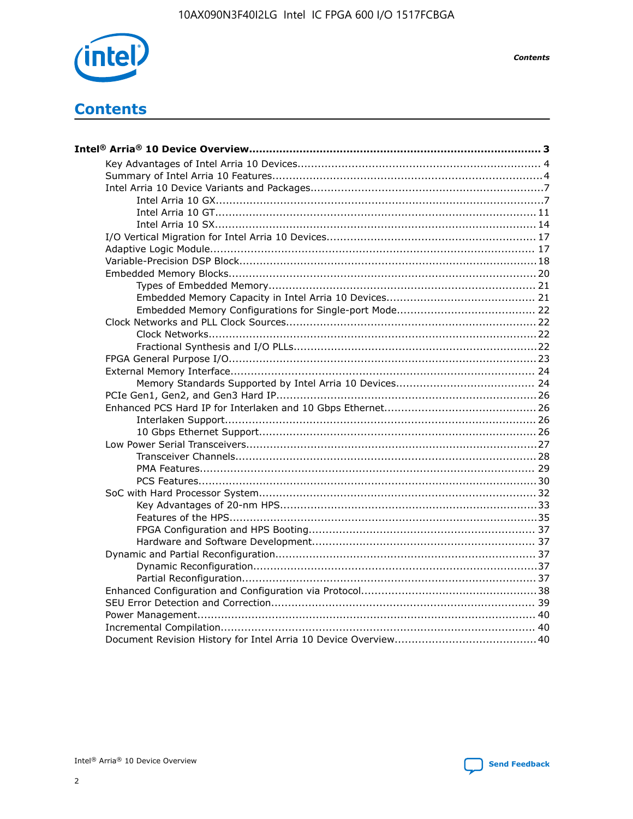

**Contents** 

# **Contents**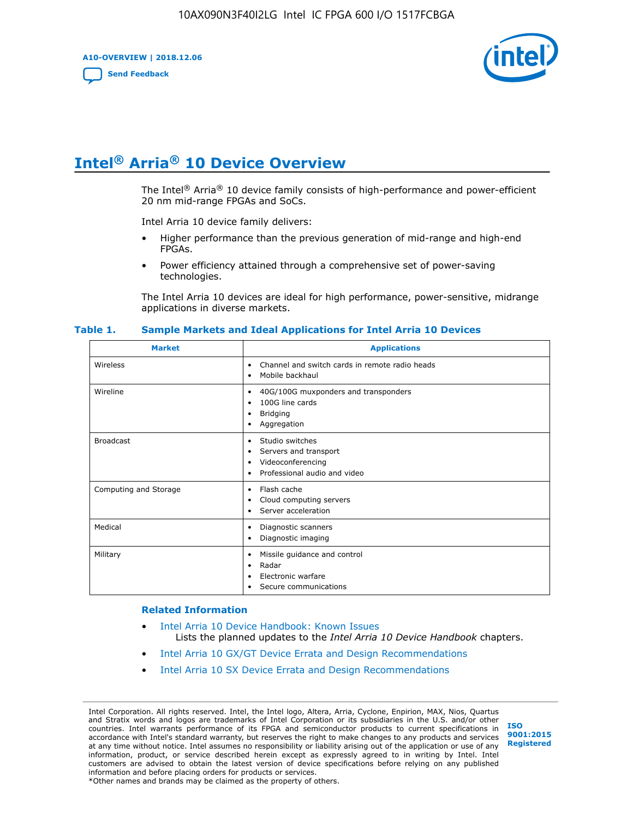**A10-OVERVIEW | 2018.12.06**

**[Send Feedback](mailto:FPGAtechdocfeedback@intel.com?subject=Feedback%20on%20Intel%20Arria%2010%20Device%20Overview%20(A10-OVERVIEW%202018.12.06)&body=We%20appreciate%20your%20feedback.%20In%20your%20comments,%20also%20specify%20the%20page%20number%20or%20paragraph.%20Thank%20you.)**



# **Intel® Arria® 10 Device Overview**

The Intel<sup>®</sup> Arria<sup>®</sup> 10 device family consists of high-performance and power-efficient 20 nm mid-range FPGAs and SoCs.

Intel Arria 10 device family delivers:

- Higher performance than the previous generation of mid-range and high-end FPGAs.
- Power efficiency attained through a comprehensive set of power-saving technologies.

The Intel Arria 10 devices are ideal for high performance, power-sensitive, midrange applications in diverse markets.

| <b>Market</b>         | <b>Applications</b>                                                                                               |
|-----------------------|-------------------------------------------------------------------------------------------------------------------|
| Wireless              | Channel and switch cards in remote radio heads<br>٠<br>Mobile backhaul<br>٠                                       |
| Wireline              | 40G/100G muxponders and transponders<br>٠<br>100G line cards<br>٠<br><b>Bridging</b><br>٠<br>Aggregation<br>٠     |
| <b>Broadcast</b>      | Studio switches<br>٠<br>Servers and transport<br>٠<br>Videoconferencing<br>٠<br>Professional audio and video<br>٠ |
| Computing and Storage | Flash cache<br>٠<br>Cloud computing servers<br>٠<br>Server acceleration<br>٠                                      |
| Medical               | Diagnostic scanners<br>٠<br>Diagnostic imaging<br>٠                                                               |
| Military              | Missile guidance and control<br>٠<br>Radar<br>٠<br>Electronic warfare<br>٠<br>Secure communications<br>٠          |

#### **Table 1. Sample Markets and Ideal Applications for Intel Arria 10 Devices**

#### **Related Information**

- [Intel Arria 10 Device Handbook: Known Issues](http://www.altera.com/support/kdb/solutions/rd07302013_646.html) Lists the planned updates to the *Intel Arria 10 Device Handbook* chapters.
- [Intel Arria 10 GX/GT Device Errata and Design Recommendations](https://www.intel.com/content/www/us/en/programmable/documentation/agz1493851706374.html#yqz1494433888646)
- [Intel Arria 10 SX Device Errata and Design Recommendations](https://www.intel.com/content/www/us/en/programmable/documentation/cru1462832385668.html#cru1462832558642)

Intel Corporation. All rights reserved. Intel, the Intel logo, Altera, Arria, Cyclone, Enpirion, MAX, Nios, Quartus and Stratix words and logos are trademarks of Intel Corporation or its subsidiaries in the U.S. and/or other countries. Intel warrants performance of its FPGA and semiconductor products to current specifications in accordance with Intel's standard warranty, but reserves the right to make changes to any products and services at any time without notice. Intel assumes no responsibility or liability arising out of the application or use of any information, product, or service described herein except as expressly agreed to in writing by Intel. Intel customers are advised to obtain the latest version of device specifications before relying on any published information and before placing orders for products or services. \*Other names and brands may be claimed as the property of others.

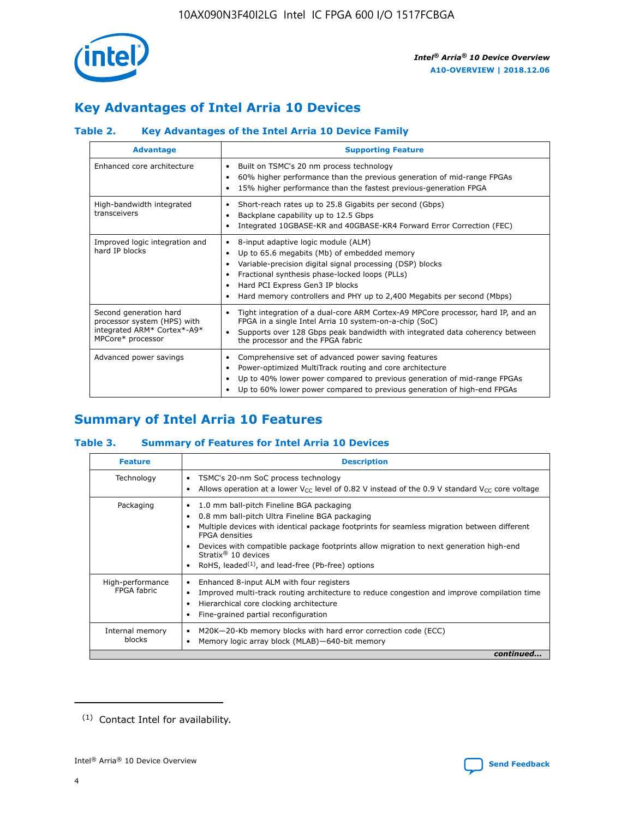

# **Key Advantages of Intel Arria 10 Devices**

# **Table 2. Key Advantages of the Intel Arria 10 Device Family**

| <b>Advantage</b>                                                                                          | <b>Supporting Feature</b>                                                                                                                                                                                                                                                                                                |
|-----------------------------------------------------------------------------------------------------------|--------------------------------------------------------------------------------------------------------------------------------------------------------------------------------------------------------------------------------------------------------------------------------------------------------------------------|
| Enhanced core architecture                                                                                | Built on TSMC's 20 nm process technology<br>٠<br>60% higher performance than the previous generation of mid-range FPGAs<br>٠<br>15% higher performance than the fastest previous-generation FPGA<br>٠                                                                                                                    |
| High-bandwidth integrated<br>transceivers                                                                 | Short-reach rates up to 25.8 Gigabits per second (Gbps)<br>٠<br>Backplane capability up to 12.5 Gbps<br>٠<br>Integrated 10GBASE-KR and 40GBASE-KR4 Forward Error Correction (FEC)<br>٠                                                                                                                                   |
| Improved logic integration and<br>hard IP blocks                                                          | 8-input adaptive logic module (ALM)<br>٠<br>Up to 65.6 megabits (Mb) of embedded memory<br>٠<br>Variable-precision digital signal processing (DSP) blocks<br>Fractional synthesis phase-locked loops (PLLs)<br>Hard PCI Express Gen3 IP blocks<br>Hard memory controllers and PHY up to 2,400 Megabits per second (Mbps) |
| Second generation hard<br>processor system (HPS) with<br>integrated ARM* Cortex*-A9*<br>MPCore* processor | Tight integration of a dual-core ARM Cortex-A9 MPCore processor, hard IP, and an<br>٠<br>FPGA in a single Intel Arria 10 system-on-a-chip (SoC)<br>Supports over 128 Gbps peak bandwidth with integrated data coherency between<br>$\bullet$<br>the processor and the FPGA fabric                                        |
| Advanced power savings                                                                                    | Comprehensive set of advanced power saving features<br>٠<br>Power-optimized MultiTrack routing and core architecture<br>٠<br>Up to 40% lower power compared to previous generation of mid-range FPGAs<br>٠<br>Up to 60% lower power compared to previous generation of high-end FPGAs<br>٠                               |

# **Summary of Intel Arria 10 Features**

## **Table 3. Summary of Features for Intel Arria 10 Devices**

| <b>Feature</b>                  | <b>Description</b>                                                                                                                                                                                                                                                                                                                                                                                 |
|---------------------------------|----------------------------------------------------------------------------------------------------------------------------------------------------------------------------------------------------------------------------------------------------------------------------------------------------------------------------------------------------------------------------------------------------|
| Technology                      | TSMC's 20-nm SoC process technology<br>Allows operation at a lower $V_{\text{CC}}$ level of 0.82 V instead of the 0.9 V standard $V_{\text{CC}}$ core voltage                                                                                                                                                                                                                                      |
| Packaging                       | 1.0 mm ball-pitch Fineline BGA packaging<br>٠<br>0.8 mm ball-pitch Ultra Fineline BGA packaging<br>Multiple devices with identical package footprints for seamless migration between different<br><b>FPGA</b> densities<br>Devices with compatible package footprints allow migration to next generation high-end<br>Stratix $@10$ devices<br>RoHS, leaded $(1)$ , and lead-free (Pb-free) options |
| High-performance<br>FPGA fabric | Enhanced 8-input ALM with four registers<br>Improved multi-track routing architecture to reduce congestion and improve compilation time<br>Hierarchical core clocking architecture<br>Fine-grained partial reconfiguration                                                                                                                                                                         |
| Internal memory<br>blocks       | M20K-20-Kb memory blocks with hard error correction code (ECC)<br>Memory logic array block (MLAB)-640-bit memory                                                                                                                                                                                                                                                                                   |
|                                 | continued                                                                                                                                                                                                                                                                                                                                                                                          |



<sup>(1)</sup> Contact Intel for availability.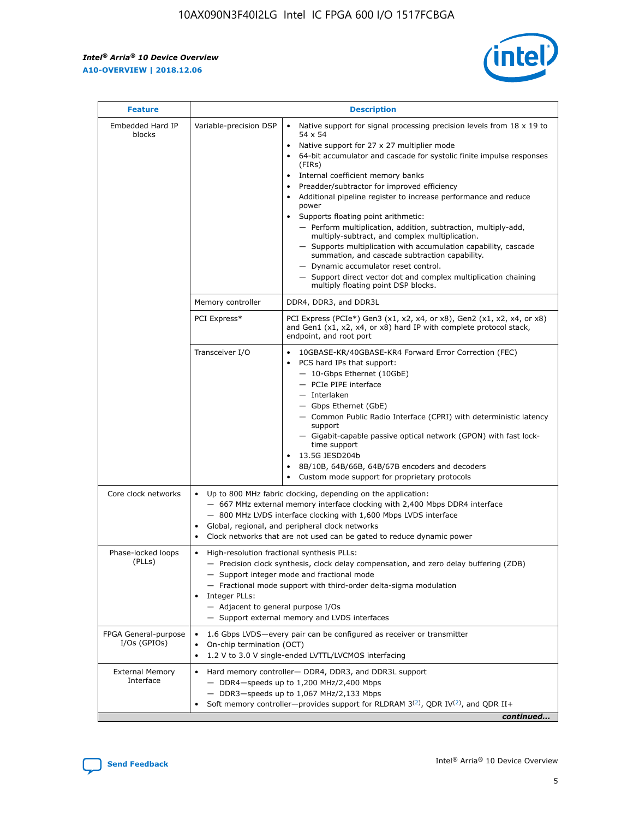r



| <b>Feature</b>                         |                                                                                                                                                                                                                                                                                                                      | <b>Description</b>                                                                                                                                                                                                                                                                                                                                                                                                                                                                                                                                                                                                                                                                                                                                                                                                                     |  |  |  |  |
|----------------------------------------|----------------------------------------------------------------------------------------------------------------------------------------------------------------------------------------------------------------------------------------------------------------------------------------------------------------------|----------------------------------------------------------------------------------------------------------------------------------------------------------------------------------------------------------------------------------------------------------------------------------------------------------------------------------------------------------------------------------------------------------------------------------------------------------------------------------------------------------------------------------------------------------------------------------------------------------------------------------------------------------------------------------------------------------------------------------------------------------------------------------------------------------------------------------------|--|--|--|--|
| Embedded Hard IP<br>blocks             | Variable-precision DSP                                                                                                                                                                                                                                                                                               | Native support for signal processing precision levels from $18 \times 19$ to<br>54 x 54<br>Native support for 27 x 27 multiplier mode<br>64-bit accumulator and cascade for systolic finite impulse responses<br>(FIRs)<br>Internal coefficient memory banks<br>$\bullet$<br>Preadder/subtractor for improved efficiency<br>Additional pipeline register to increase performance and reduce<br>power<br>Supports floating point arithmetic:<br>- Perform multiplication, addition, subtraction, multiply-add,<br>multiply-subtract, and complex multiplication.<br>- Supports multiplication with accumulation capability, cascade<br>summation, and cascade subtraction capability.<br>- Dynamic accumulator reset control.<br>- Support direct vector dot and complex multiplication chaining<br>multiply floating point DSP blocks. |  |  |  |  |
|                                        | Memory controller                                                                                                                                                                                                                                                                                                    | DDR4, DDR3, and DDR3L                                                                                                                                                                                                                                                                                                                                                                                                                                                                                                                                                                                                                                                                                                                                                                                                                  |  |  |  |  |
|                                        | PCI Express*                                                                                                                                                                                                                                                                                                         | PCI Express (PCIe*) Gen3 (x1, x2, x4, or x8), Gen2 (x1, x2, x4, or x8)<br>and Gen1 (x1, x2, x4, or x8) hard IP with complete protocol stack,<br>endpoint, and root port                                                                                                                                                                                                                                                                                                                                                                                                                                                                                                                                                                                                                                                                |  |  |  |  |
|                                        | Transceiver I/O                                                                                                                                                                                                                                                                                                      | 10GBASE-KR/40GBASE-KR4 Forward Error Correction (FEC)<br>PCS hard IPs that support:<br>$\bullet$<br>- 10-Gbps Ethernet (10GbE)<br>- PCIe PIPE interface<br>$-$ Interlaken<br>- Gbps Ethernet (GbE)<br>- Common Public Radio Interface (CPRI) with deterministic latency<br>support<br>- Gigabit-capable passive optical network (GPON) with fast lock-<br>time support<br>13.5G JESD204b<br>$\bullet$<br>8B/10B, 64B/66B, 64B/67B encoders and decoders<br>Custom mode support for proprietary protocols                                                                                                                                                                                                                                                                                                                               |  |  |  |  |
| Core clock networks                    | $\bullet$<br>$\bullet$                                                                                                                                                                                                                                                                                               | Up to 800 MHz fabric clocking, depending on the application:<br>- 667 MHz external memory interface clocking with 2,400 Mbps DDR4 interface<br>- 800 MHz LVDS interface clocking with 1,600 Mbps LVDS interface<br>Global, regional, and peripheral clock networks<br>Clock networks that are not used can be gated to reduce dynamic power                                                                                                                                                                                                                                                                                                                                                                                                                                                                                            |  |  |  |  |
| Phase-locked loops<br>(PLLs)           | High-resolution fractional synthesis PLLs:<br>$\bullet$<br>Integer PLLs:<br>- Adjacent to general purpose I/Os                                                                                                                                                                                                       | - Precision clock synthesis, clock delay compensation, and zero delay buffering (ZDB)<br>- Support integer mode and fractional mode<br>- Fractional mode support with third-order delta-sigma modulation<br>- Support external memory and LVDS interfaces                                                                                                                                                                                                                                                                                                                                                                                                                                                                                                                                                                              |  |  |  |  |
| FPGA General-purpose<br>$I/Os$ (GPIOs) | On-chip termination (OCT)                                                                                                                                                                                                                                                                                            | 1.6 Gbps LVDS-every pair can be configured as receiver or transmitter                                                                                                                                                                                                                                                                                                                                                                                                                                                                                                                                                                                                                                                                                                                                                                  |  |  |  |  |
| <b>External Memory</b><br>Interface    | 1.2 V to 3.0 V single-ended LVTTL/LVCMOS interfacing<br>Hard memory controller- DDR4, DDR3, and DDR3L support<br>$-$ DDR4-speeds up to 1,200 MHz/2,400 Mbps<br>- DDR3-speeds up to 1,067 MHz/2,133 Mbps<br>Soft memory controller—provides support for RLDRAM $3^{(2)}$ , QDR IV $^{(2)}$ , and QDR II+<br>continued |                                                                                                                                                                                                                                                                                                                                                                                                                                                                                                                                                                                                                                                                                                                                                                                                                                        |  |  |  |  |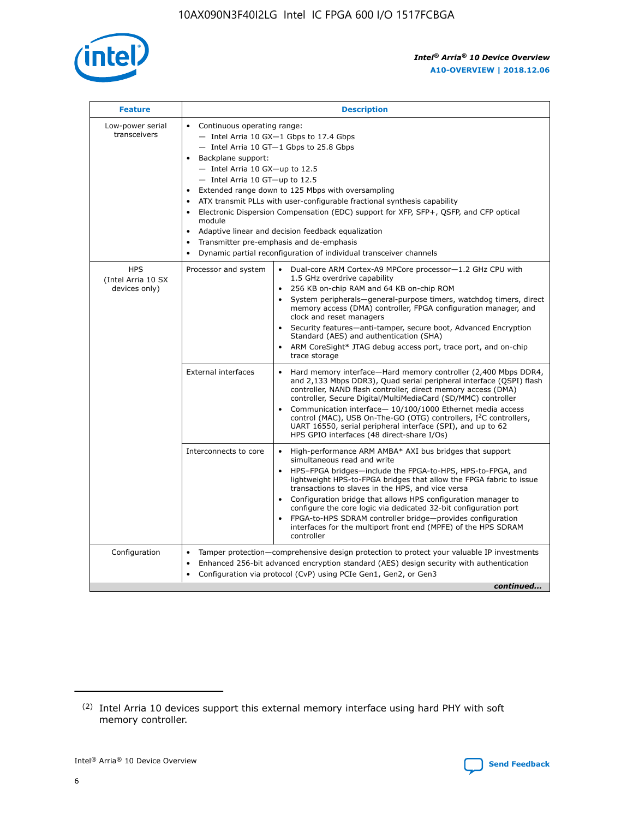

| <b>Feature</b>                                    | <b>Description</b>                                                                                                                                                                                                                                                                                                                                                                                                                                                                                                                                                                                                                                    |  |  |  |  |  |  |  |
|---------------------------------------------------|-------------------------------------------------------------------------------------------------------------------------------------------------------------------------------------------------------------------------------------------------------------------------------------------------------------------------------------------------------------------------------------------------------------------------------------------------------------------------------------------------------------------------------------------------------------------------------------------------------------------------------------------------------|--|--|--|--|--|--|--|
| Low-power serial<br>transceivers                  | • Continuous operating range:<br>- Intel Arria 10 GX-1 Gbps to 17.4 Gbps<br>- Intel Arria 10 GT-1 Gbps to 25.8 Gbps<br>Backplane support:<br>$-$ Intel Arria 10 GX-up to 12.5<br>- Intel Arria 10 GT-up to 12.5<br>Extended range down to 125 Mbps with oversampling<br>ATX transmit PLLs with user-configurable fractional synthesis capability<br>Electronic Dispersion Compensation (EDC) support for XFP, SFP+, QSFP, and CFP optical<br>module<br>Adaptive linear and decision feedback equalization<br>$\bullet$<br>Transmitter pre-emphasis and de-emphasis<br>$\bullet$<br>Dynamic partial reconfiguration of individual transceiver channels |  |  |  |  |  |  |  |
| <b>HPS</b><br>(Intel Arria 10 SX<br>devices only) | • Dual-core ARM Cortex-A9 MPCore processor-1.2 GHz CPU with<br>Processor and system<br>1.5 GHz overdrive capability<br>256 KB on-chip RAM and 64 KB on-chip ROM<br>$\bullet$<br>System peripherals—general-purpose timers, watchdog timers, direct<br>memory access (DMA) controller, FPGA configuration manager, and<br>clock and reset managers<br>Security features—anti-tamper, secure boot, Advanced Encryption<br>$\bullet$<br>Standard (AES) and authentication (SHA)<br>ARM CoreSight* JTAG debug access port, trace port, and on-chip<br>$\bullet$<br>trace storage                                                                          |  |  |  |  |  |  |  |
|                                                   | <b>External interfaces</b><br>Hard memory interface-Hard memory controller (2,400 Mbps DDR4,<br>$\bullet$<br>and 2,133 Mbps DDR3), Quad serial peripheral interface (QSPI) flash<br>controller, NAND flash controller, direct memory access (DMA)<br>controller, Secure Digital/MultiMediaCard (SD/MMC) controller<br>Communication interface-10/100/1000 Ethernet media access<br>$\bullet$<br>control (MAC), USB On-The-GO (OTG) controllers, I <sup>2</sup> C controllers,<br>UART 16550, serial peripheral interface (SPI), and up to 62<br>HPS GPIO interfaces (48 direct-share I/Os)                                                            |  |  |  |  |  |  |  |
|                                                   | High-performance ARM AMBA* AXI bus bridges that support<br>Interconnects to core<br>$\bullet$<br>simultaneous read and write<br>HPS-FPGA bridges-include the FPGA-to-HPS, HPS-to-FPGA, and<br>$\bullet$<br>lightweight HPS-to-FPGA bridges that allow the FPGA fabric to issue<br>transactions to slaves in the HPS, and vice versa<br>Configuration bridge that allows HPS configuration manager to<br>configure the core logic via dedicated 32-bit configuration port<br>FPGA-to-HPS SDRAM controller bridge-provides configuration<br>interfaces for the multiport front end (MPFE) of the HPS SDRAM<br>controller                                |  |  |  |  |  |  |  |
| Configuration                                     | Tamper protection—comprehensive design protection to protect your valuable IP investments<br>Enhanced 256-bit advanced encryption standard (AES) design security with authentication<br>٠<br>Configuration via protocol (CvP) using PCIe Gen1, Gen2, or Gen3<br>continued                                                                                                                                                                                                                                                                                                                                                                             |  |  |  |  |  |  |  |

<sup>(2)</sup> Intel Arria 10 devices support this external memory interface using hard PHY with soft memory controller.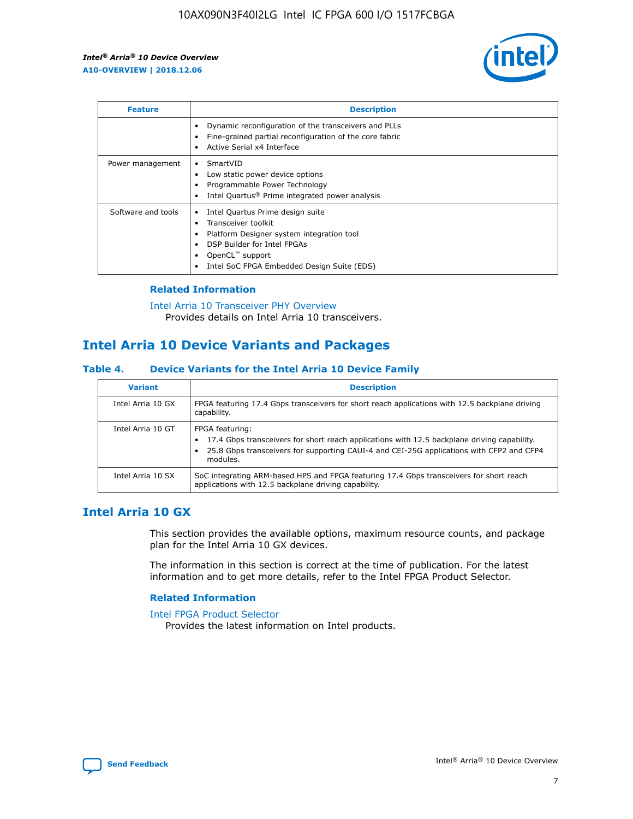

| <b>Feature</b>     | <b>Description</b>                                                                                                                                                                                               |
|--------------------|------------------------------------------------------------------------------------------------------------------------------------------------------------------------------------------------------------------|
|                    | Dynamic reconfiguration of the transceivers and PLLs<br>Fine-grained partial reconfiguration of the core fabric<br>Active Serial x4 Interface<br>$\bullet$                                                       |
| Power management   | SmartVID<br>Low static power device options<br>Programmable Power Technology<br>Intel Quartus <sup>®</sup> Prime integrated power analysis                                                                       |
| Software and tools | Intel Quartus Prime design suite<br>Transceiver toolkit<br>Platform Designer system integration tool<br>DSP Builder for Intel FPGAs<br>OpenCL <sup>™</sup> support<br>Intel SoC FPGA Embedded Design Suite (EDS) |

## **Related Information**

[Intel Arria 10 Transceiver PHY Overview](https://www.intel.com/content/www/us/en/programmable/documentation/nik1398707230472.html#nik1398706768037) Provides details on Intel Arria 10 transceivers.

# **Intel Arria 10 Device Variants and Packages**

#### **Table 4. Device Variants for the Intel Arria 10 Device Family**

| <b>Variant</b>    | <b>Description</b>                                                                                                                                                                                                     |
|-------------------|------------------------------------------------------------------------------------------------------------------------------------------------------------------------------------------------------------------------|
| Intel Arria 10 GX | FPGA featuring 17.4 Gbps transceivers for short reach applications with 12.5 backplane driving<br>capability.                                                                                                          |
| Intel Arria 10 GT | FPGA featuring:<br>17.4 Gbps transceivers for short reach applications with 12.5 backplane driving capability.<br>25.8 Gbps transceivers for supporting CAUI-4 and CEI-25G applications with CFP2 and CFP4<br>modules. |
| Intel Arria 10 SX | SoC integrating ARM-based HPS and FPGA featuring 17.4 Gbps transceivers for short reach<br>applications with 12.5 backplane driving capability.                                                                        |

# **Intel Arria 10 GX**

This section provides the available options, maximum resource counts, and package plan for the Intel Arria 10 GX devices.

The information in this section is correct at the time of publication. For the latest information and to get more details, refer to the Intel FPGA Product Selector.

### **Related Information**

#### [Intel FPGA Product Selector](http://www.altera.com/products/selector/psg-selector.html) Provides the latest information on Intel products.

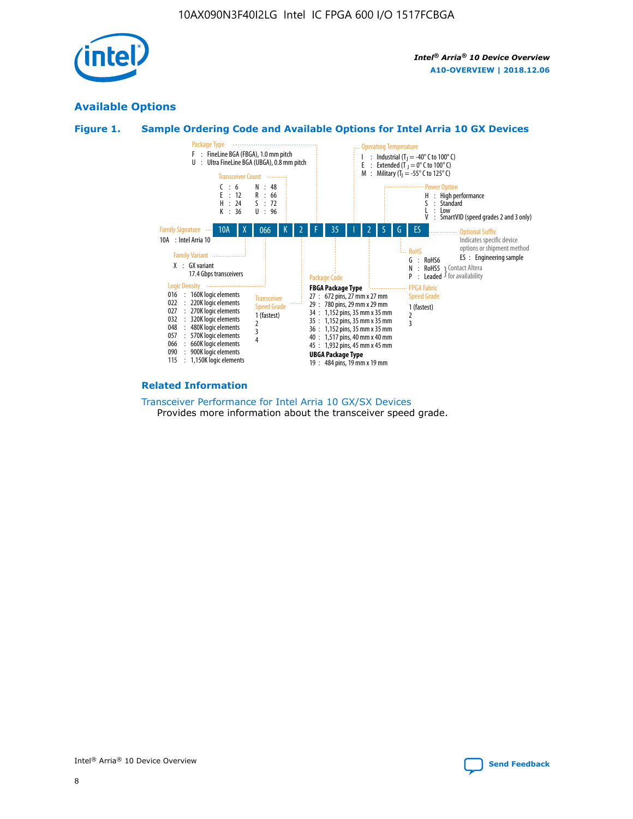

# **Available Options**





#### **Related Information**

[Transceiver Performance for Intel Arria 10 GX/SX Devices](https://www.intel.com/content/www/us/en/programmable/documentation/mcn1413182292568.html#mcn1413213965502) Provides more information about the transceiver speed grade.

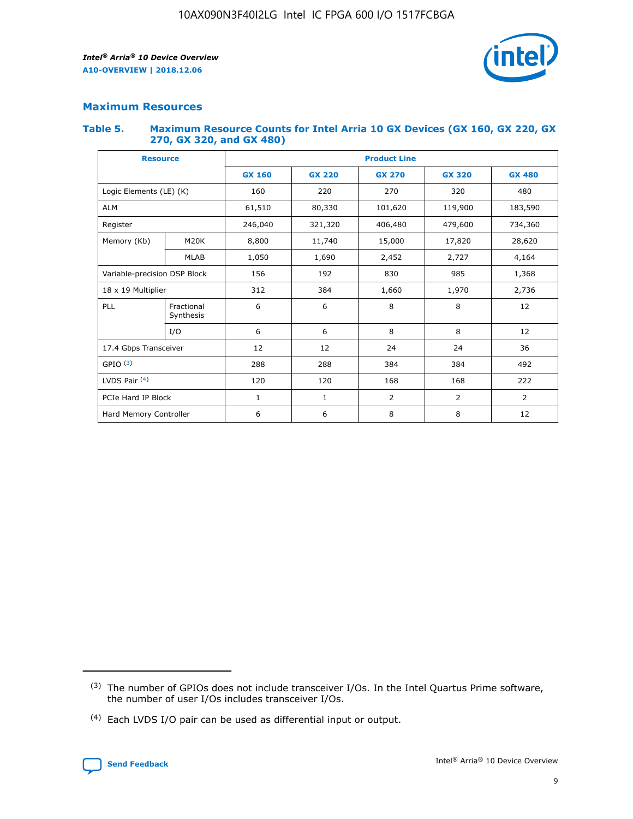

# **Maximum Resources**

#### **Table 5. Maximum Resource Counts for Intel Arria 10 GX Devices (GX 160, GX 220, GX 270, GX 320, and GX 480)**

| <b>Resource</b>              |                         | <b>Product Line</b> |                                                 |                |                |                |  |  |
|------------------------------|-------------------------|---------------------|-------------------------------------------------|----------------|----------------|----------------|--|--|
|                              |                         | <b>GX 160</b>       | <b>GX 220</b><br><b>GX 270</b><br><b>GX 320</b> |                |                | <b>GX 480</b>  |  |  |
| Logic Elements (LE) (K)      |                         | 160                 | 220                                             | 270            | 320            | 480            |  |  |
| <b>ALM</b>                   |                         | 61,510              | 80,330                                          | 101,620        | 119,900        | 183,590        |  |  |
| Register                     |                         | 246,040             | 406,480<br>479,600<br>321,320                   |                |                | 734,360        |  |  |
| Memory (Kb)                  | M <sub>20</sub> K       | 8,800               | 11,740                                          | 15,000         | 17,820         | 28,620         |  |  |
|                              | <b>MLAB</b>             | 1,050               | 1,690                                           | 2,452          | 2,727          | 4,164          |  |  |
| Variable-precision DSP Block |                         | 156                 | 192                                             | 830            | 985            | 1,368          |  |  |
| 18 x 19 Multiplier           |                         | 312                 | 384                                             | 1,970<br>1,660 |                | 2,736          |  |  |
| PLL                          | Fractional<br>Synthesis | 6                   | 6                                               | 8              | 8              | 12             |  |  |
|                              | I/O                     | 6                   | 6                                               | 8              | 8              | 12             |  |  |
| 17.4 Gbps Transceiver        |                         | 12                  | 12                                              | 24             | 24             | 36             |  |  |
| GPIO <sup>(3)</sup>          |                         | 288                 | 288                                             | 384            | 384            |                |  |  |
| LVDS Pair $(4)$              |                         | 120                 | 120                                             | 168            | 168            | 222            |  |  |
| PCIe Hard IP Block           |                         | 1                   | 1                                               | 2              | $\overline{2}$ | $\overline{2}$ |  |  |
| Hard Memory Controller       |                         | 6                   | 6                                               | 8              | 8              | 12             |  |  |

<sup>(4)</sup> Each LVDS I/O pair can be used as differential input or output.



<sup>(3)</sup> The number of GPIOs does not include transceiver I/Os. In the Intel Quartus Prime software, the number of user I/Os includes transceiver I/Os.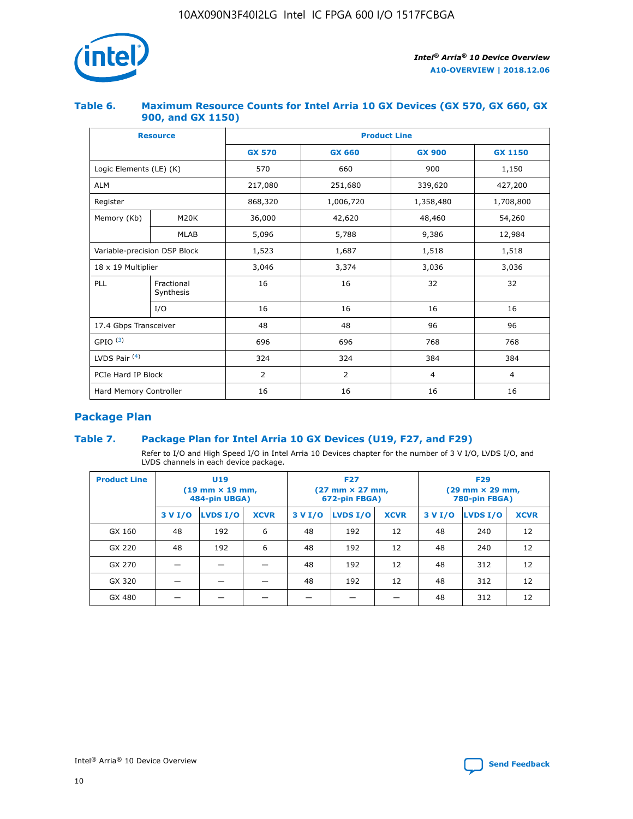

## **Table 6. Maximum Resource Counts for Intel Arria 10 GX Devices (GX 570, GX 660, GX 900, and GX 1150)**

|                              | <b>Resource</b>         | <b>Product Line</b> |                        |                |                |  |  |  |
|------------------------------|-------------------------|---------------------|------------------------|----------------|----------------|--|--|--|
|                              |                         | <b>GX 570</b>       | <b>GX 660</b>          | <b>GX 900</b>  | <b>GX 1150</b> |  |  |  |
| Logic Elements (LE) (K)      |                         | 570                 | 660                    | 900            | 1,150          |  |  |  |
| <b>ALM</b>                   |                         | 217,080             | 251,680                | 339,620        | 427,200        |  |  |  |
| Register                     |                         | 868,320             | 1,006,720<br>1,358,480 |                | 1,708,800      |  |  |  |
| Memory (Kb)                  | <b>M20K</b>             | 36,000              | 42,620                 | 48,460         | 54,260         |  |  |  |
|                              | <b>MLAB</b>             | 5,096               | 5,788                  | 9,386          | 12,984         |  |  |  |
| Variable-precision DSP Block |                         | 1,523               | 1,687                  | 1,518          | 1,518          |  |  |  |
| $18 \times 19$ Multiplier    |                         | 3,046               | 3,374                  | 3,036          | 3,036          |  |  |  |
| PLL                          | Fractional<br>Synthesis | 16                  | 16                     | 32             | 32             |  |  |  |
|                              | I/O                     | 16                  | 16                     | 16             | 16             |  |  |  |
| 17.4 Gbps Transceiver        |                         | 48                  | 48<br>96               |                | 96             |  |  |  |
| GPIO <sup>(3)</sup>          |                         | 696                 | 696                    | 768            | 768            |  |  |  |
| LVDS Pair $(4)$              |                         | 324                 | 324                    | 384            | 384            |  |  |  |
| PCIe Hard IP Block           |                         | 2                   | $\overline{2}$         | $\overline{4}$ | 4              |  |  |  |
| Hard Memory Controller       |                         | 16                  | 16                     | 16             | 16             |  |  |  |

# **Package Plan**

# **Table 7. Package Plan for Intel Arria 10 GX Devices (U19, F27, and F29)**

Refer to I/O and High Speed I/O in Intel Arria 10 Devices chapter for the number of 3 V I/O, LVDS I/O, and LVDS channels in each device package.

| <b>Product Line</b> | U <sub>19</sub><br>$(19 \text{ mm} \times 19 \text{ mm})$<br>484-pin UBGA) |          |             |         | <b>F27</b><br>(27 mm × 27 mm,<br>672-pin FBGA) |             | <b>F29</b><br>(29 mm × 29 mm,<br>780-pin FBGA) |          |             |  |
|---------------------|----------------------------------------------------------------------------|----------|-------------|---------|------------------------------------------------|-------------|------------------------------------------------|----------|-------------|--|
|                     | 3 V I/O                                                                    | LVDS I/O | <b>XCVR</b> | 3 V I/O | LVDS I/O                                       | <b>XCVR</b> | 3 V I/O                                        | LVDS I/O | <b>XCVR</b> |  |
| GX 160              | 48                                                                         | 192      | 6           | 48      | 192                                            | 12          | 48                                             | 240      | 12          |  |
| GX 220              | 48                                                                         | 192      | 6           | 48      | 192                                            | 12          | 48                                             | 240      | 12          |  |
| GX 270              |                                                                            |          |             | 48      | 192                                            | 12          | 48                                             | 312      | 12          |  |
| GX 320              |                                                                            |          |             | 48      | 192                                            | 12          | 48                                             | 312      | 12          |  |
| GX 480              |                                                                            |          |             |         |                                                |             | 48                                             | 312      | 12          |  |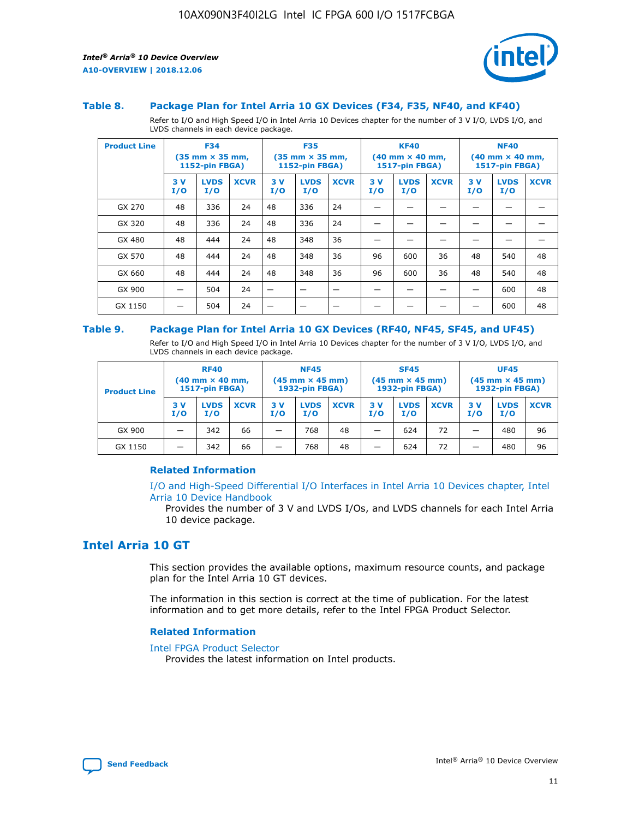



#### **Table 8. Package Plan for Intel Arria 10 GX Devices (F34, F35, NF40, and KF40)**

Refer to I/O and High Speed I/O in Intel Arria 10 Devices chapter for the number of 3 V I/O, LVDS I/O, and LVDS channels in each device package.

| <b>Product Line</b> | <b>F34</b><br>$(35 \text{ mm} \times 35 \text{ mm})$<br><b>1152-pin FBGA)</b> |                    | <b>F35</b><br>$(35 \text{ mm} \times 35 \text{ mm})$<br><b>1152-pin FBGA)</b> |           | <b>KF40</b><br>$(40$ mm $\times$ 40 mm,<br><b>1517-pin FBGA)</b> |             |           | <b>NF40</b><br>$(40 \text{ mm} \times 40 \text{ mm})$<br>1517-pin FBGA) |             |           |                    |             |
|---------------------|-------------------------------------------------------------------------------|--------------------|-------------------------------------------------------------------------------|-----------|------------------------------------------------------------------|-------------|-----------|-------------------------------------------------------------------------|-------------|-----------|--------------------|-------------|
|                     | 3V<br>I/O                                                                     | <b>LVDS</b><br>I/O | <b>XCVR</b>                                                                   | 3V<br>I/O | <b>LVDS</b><br>I/O                                               | <b>XCVR</b> | 3V<br>I/O | <b>LVDS</b><br>I/O                                                      | <b>XCVR</b> | 3V<br>I/O | <b>LVDS</b><br>I/O | <b>XCVR</b> |
| GX 270              | 48                                                                            | 336                | 24                                                                            | 48        | 336                                                              | 24          |           |                                                                         |             |           |                    |             |
| GX 320              | 48                                                                            | 336                | 24                                                                            | 48        | 336                                                              | 24          |           |                                                                         |             |           |                    |             |
| GX 480              | 48                                                                            | 444                | 24                                                                            | 48        | 348                                                              | 36          |           |                                                                         |             |           |                    |             |
| GX 570              | 48                                                                            | 444                | 24                                                                            | 48        | 348                                                              | 36          | 96        | 600                                                                     | 36          | 48        | 540                | 48          |
| GX 660              | 48                                                                            | 444                | 24                                                                            | 48        | 348                                                              | 36          | 96        | 600                                                                     | 36          | 48        | 540                | 48          |
| GX 900              |                                                                               | 504                | 24                                                                            | –         |                                                                  | -           |           |                                                                         |             |           | 600                | 48          |
| GX 1150             |                                                                               | 504                | 24                                                                            |           |                                                                  |             |           |                                                                         |             |           | 600                | 48          |

#### **Table 9. Package Plan for Intel Arria 10 GX Devices (RF40, NF45, SF45, and UF45)**

Refer to I/O and High Speed I/O in Intel Arria 10 Devices chapter for the number of 3 V I/O, LVDS I/O, and LVDS channels in each device package.

| <b>Product Line</b> | <b>RF40</b><br>$(40$ mm $\times$ 40 mm,<br>1517-pin FBGA) |                    | <b>NF45</b><br>$(45 \text{ mm} \times 45 \text{ mm})$<br><b>1932-pin FBGA)</b> |           |                    | <b>SF45</b><br>$(45 \text{ mm} \times 45 \text{ mm})$<br><b>1932-pin FBGA)</b> |            |                    | <b>UF45</b><br>$(45 \text{ mm} \times 45 \text{ mm})$<br><b>1932-pin FBGA)</b> |           |                    |             |
|---------------------|-----------------------------------------------------------|--------------------|--------------------------------------------------------------------------------|-----------|--------------------|--------------------------------------------------------------------------------|------------|--------------------|--------------------------------------------------------------------------------|-----------|--------------------|-------------|
|                     | 3V<br>I/O                                                 | <b>LVDS</b><br>I/O | <b>XCVR</b>                                                                    | 3V<br>I/O | <b>LVDS</b><br>I/O | <b>XCVR</b>                                                                    | 3 V<br>I/O | <b>LVDS</b><br>I/O | <b>XCVR</b>                                                                    | 3V<br>I/O | <b>LVDS</b><br>I/O | <b>XCVR</b> |
| GX 900              |                                                           | 342                | 66                                                                             | -         | 768                | 48                                                                             |            | 624                | 72                                                                             |           | 480                | 96          |
| GX 1150             |                                                           | 342                | 66                                                                             | -         | 768                | 48                                                                             | _          | 624                | 72                                                                             |           | 480                | 96          |

### **Related Information**

[I/O and High-Speed Differential I/O Interfaces in Intel Arria 10 Devices chapter, Intel](https://www.intel.com/content/www/us/en/programmable/documentation/sam1403482614086.html#sam1403482030321) [Arria 10 Device Handbook](https://www.intel.com/content/www/us/en/programmable/documentation/sam1403482614086.html#sam1403482030321)

Provides the number of 3 V and LVDS I/Os, and LVDS channels for each Intel Arria 10 device package.

# **Intel Arria 10 GT**

This section provides the available options, maximum resource counts, and package plan for the Intel Arria 10 GT devices.

The information in this section is correct at the time of publication. For the latest information and to get more details, refer to the Intel FPGA Product Selector.

#### **Related Information**

#### [Intel FPGA Product Selector](http://www.altera.com/products/selector/psg-selector.html)

Provides the latest information on Intel products.

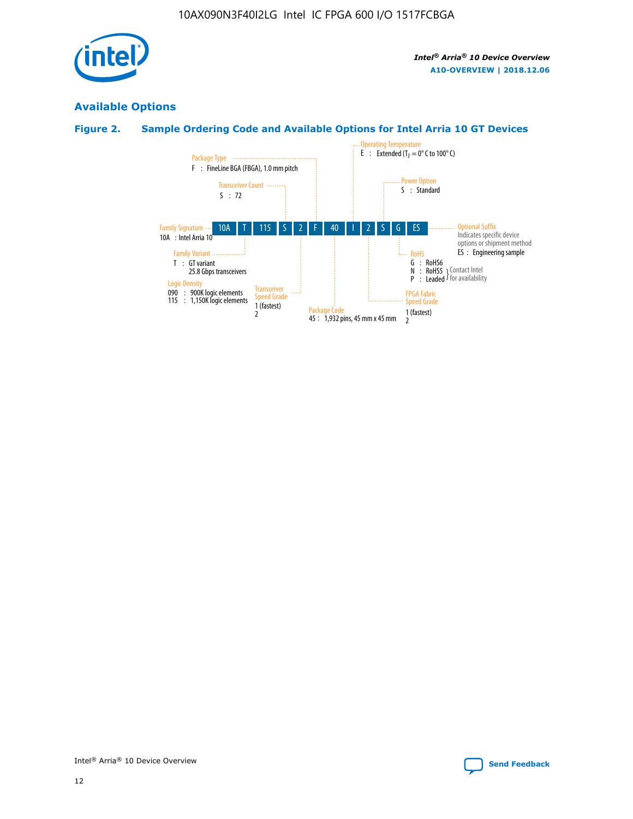

# **Available Options**

# **Figure 2. Sample Ordering Code and Available Options for Intel Arria 10 GT Devices**

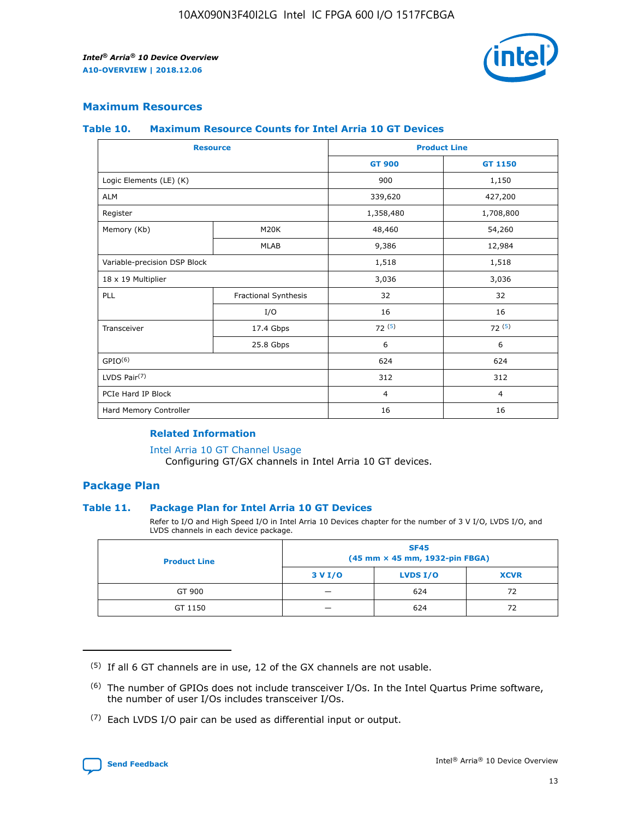

## **Maximum Resources**

#### **Table 10. Maximum Resource Counts for Intel Arria 10 GT Devices**

|                              | <b>Resource</b>      | <b>Product Line</b> |                |  |
|------------------------------|----------------------|---------------------|----------------|--|
|                              |                      | <b>GT 900</b>       | GT 1150        |  |
| Logic Elements (LE) (K)      |                      | 900                 | 1,150          |  |
| <b>ALM</b>                   |                      | 339,620             | 427,200        |  |
| Register                     |                      | 1,358,480           | 1,708,800      |  |
| Memory (Kb)                  | M20K                 | 48,460              | 54,260         |  |
|                              | <b>MLAB</b>          | 9,386               | 12,984         |  |
| Variable-precision DSP Block |                      | 1,518               | 1,518          |  |
| 18 x 19 Multiplier           |                      | 3,036               | 3,036          |  |
| PLL                          | Fractional Synthesis | 32                  | 32             |  |
|                              | I/O                  | 16                  | 16             |  |
| Transceiver                  | 17.4 Gbps            | 72(5)               | 72(5)          |  |
|                              | 25.8 Gbps            | 6                   | 6              |  |
| GPIO <sup>(6)</sup>          |                      | 624                 | 624            |  |
| LVDS Pair $(7)$              |                      | 312                 | 312            |  |
| PCIe Hard IP Block           |                      | $\overline{4}$      | $\overline{4}$ |  |
| Hard Memory Controller       |                      | 16                  | 16             |  |

### **Related Information**

#### [Intel Arria 10 GT Channel Usage](https://www.intel.com/content/www/us/en/programmable/documentation/nik1398707230472.html#nik1398707008178)

Configuring GT/GX channels in Intel Arria 10 GT devices.

## **Package Plan**

#### **Table 11. Package Plan for Intel Arria 10 GT Devices**

Refer to I/O and High Speed I/O in Intel Arria 10 Devices chapter for the number of 3 V I/O, LVDS I/O, and LVDS channels in each device package.

| <b>Product Line</b> | <b>SF45</b><br>(45 mm × 45 mm, 1932-pin FBGA) |                 |             |  |  |  |
|---------------------|-----------------------------------------------|-----------------|-------------|--|--|--|
|                     | 3 V I/O                                       | <b>LVDS I/O</b> | <b>XCVR</b> |  |  |  |
| GT 900              |                                               | 624             | 72          |  |  |  |
| GT 1150             |                                               | 624             | 72          |  |  |  |

<sup>(7)</sup> Each LVDS I/O pair can be used as differential input or output.



 $(5)$  If all 6 GT channels are in use, 12 of the GX channels are not usable.

<sup>(6)</sup> The number of GPIOs does not include transceiver I/Os. In the Intel Quartus Prime software, the number of user I/Os includes transceiver I/Os.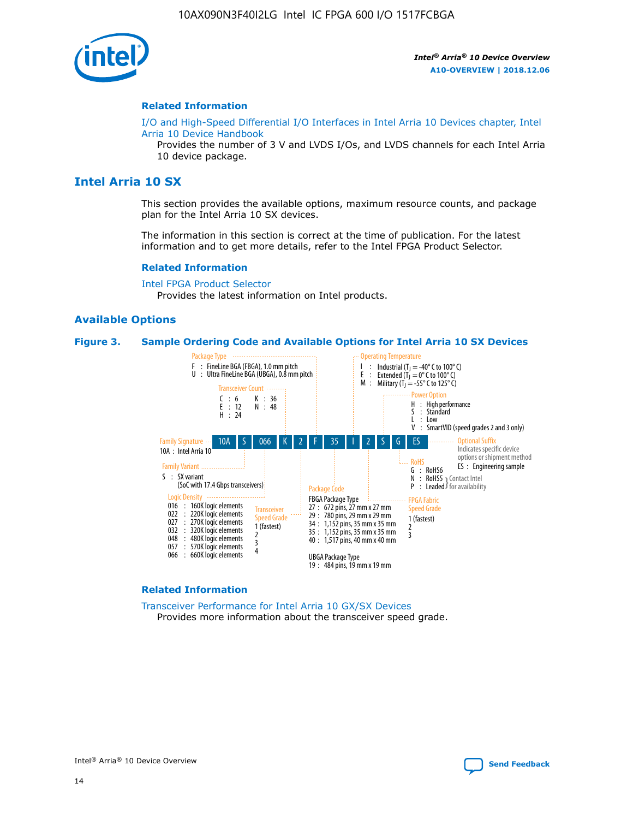

#### **Related Information**

[I/O and High-Speed Differential I/O Interfaces in Intel Arria 10 Devices chapter, Intel](https://www.intel.com/content/www/us/en/programmable/documentation/sam1403482614086.html#sam1403482030321) [Arria 10 Device Handbook](https://www.intel.com/content/www/us/en/programmable/documentation/sam1403482614086.html#sam1403482030321)

Provides the number of 3 V and LVDS I/Os, and LVDS channels for each Intel Arria 10 device package.

# **Intel Arria 10 SX**

This section provides the available options, maximum resource counts, and package plan for the Intel Arria 10 SX devices.

The information in this section is correct at the time of publication. For the latest information and to get more details, refer to the Intel FPGA Product Selector.

#### **Related Information**

[Intel FPGA Product Selector](http://www.altera.com/products/selector/psg-selector.html) Provides the latest information on Intel products.

#### **Available Options**

#### **Figure 3. Sample Ordering Code and Available Options for Intel Arria 10 SX Devices**



#### **Related Information**

[Transceiver Performance for Intel Arria 10 GX/SX Devices](https://www.intel.com/content/www/us/en/programmable/documentation/mcn1413182292568.html#mcn1413213965502) Provides more information about the transceiver speed grade.

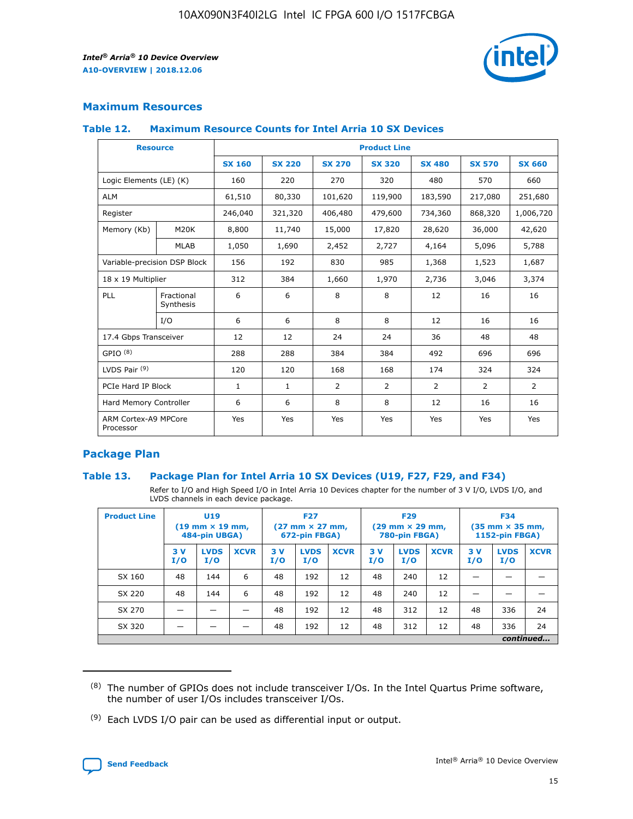

# **Maximum Resources**

#### **Table 12. Maximum Resource Counts for Intel Arria 10 SX Devices**

|                                   | <b>Resource</b>         | <b>Product Line</b> |               |                |                |                |                |                |  |  |  |
|-----------------------------------|-------------------------|---------------------|---------------|----------------|----------------|----------------|----------------|----------------|--|--|--|
|                                   |                         | <b>SX 160</b>       | <b>SX 220</b> | <b>SX 270</b>  | <b>SX 320</b>  | <b>SX 480</b>  | <b>SX 570</b>  | <b>SX 660</b>  |  |  |  |
| Logic Elements (LE) (K)           |                         | 160                 | 220           | 270            | 320            | 480            | 570            | 660            |  |  |  |
| <b>ALM</b>                        |                         | 61,510              | 80,330        | 101,620        | 119,900        | 183,590        | 217,080        | 251,680        |  |  |  |
| Register                          |                         | 246,040             | 321,320       | 406,480        | 479,600        | 734,360        | 868,320        | 1,006,720      |  |  |  |
| Memory (Kb)                       | M <sub>20</sub> K       | 8,800               | 11,740        | 15,000         | 17,820         | 28,620         | 36,000         | 42,620         |  |  |  |
|                                   | <b>MLAB</b>             | 1,050               | 1,690         | 2,452          | 2,727          | 4,164          | 5,096          | 5,788          |  |  |  |
| Variable-precision DSP Block      |                         | 156                 | 192           | 830            | 985            | 1,368          | 1,523          | 1,687          |  |  |  |
| 18 x 19 Multiplier                |                         | 312                 | 384           | 1,660          | 1,970          | 2,736          | 3,046          | 3,374          |  |  |  |
| <b>PLL</b>                        | Fractional<br>Synthesis | 6                   | 6             | 8              | 8              | 12             | 16             | 16             |  |  |  |
|                                   | I/O                     | 6                   | 6             | 8              | 8              | 12             | 16             | 16             |  |  |  |
| 17.4 Gbps Transceiver             |                         | 12                  | 12            | 24             | 24             | 36             | 48             | 48             |  |  |  |
| GPIO <sup>(8)</sup>               |                         | 288                 | 288           | 384            | 384            | 492            | 696            | 696            |  |  |  |
| LVDS Pair $(9)$                   |                         | 120                 | 120           | 168            | 168            | 174            | 324            | 324            |  |  |  |
| PCIe Hard IP Block                |                         | $\mathbf{1}$        | $\mathbf{1}$  | $\overline{2}$ | $\overline{2}$ | $\overline{2}$ | $\overline{2}$ | $\overline{2}$ |  |  |  |
| Hard Memory Controller            |                         | 6                   | 6             | 8              | 8              | 12             | 16             | 16             |  |  |  |
| ARM Cortex-A9 MPCore<br>Processor |                         | Yes                 | Yes           | Yes            | Yes            | Yes            | Yes            | Yes            |  |  |  |

# **Package Plan**

#### **Table 13. Package Plan for Intel Arria 10 SX Devices (U19, F27, F29, and F34)**

Refer to I/O and High Speed I/O in Intel Arria 10 Devices chapter for the number of 3 V I/O, LVDS I/O, and LVDS channels in each device package.

| <b>Product Line</b> | U <sub>19</sub><br>$(19 \text{ mm} \times 19 \text{ mm})$<br>484-pin UBGA) |                    |             | <b>F27</b><br>$(27 \text{ mm} \times 27 \text{ mm})$ .<br>672-pin FBGA) |                    | <b>F29</b><br>$(29 \text{ mm} \times 29 \text{ mm})$ .<br>780-pin FBGA) |            |                    | <b>F34</b><br>$(35 \text{ mm} \times 35 \text{ mm})$<br><b>1152-pin FBGA)</b> |           |                    |             |
|---------------------|----------------------------------------------------------------------------|--------------------|-------------|-------------------------------------------------------------------------|--------------------|-------------------------------------------------------------------------|------------|--------------------|-------------------------------------------------------------------------------|-----------|--------------------|-------------|
|                     | 3V<br>I/O                                                                  | <b>LVDS</b><br>I/O | <b>XCVR</b> | 3V<br>I/O                                                               | <b>LVDS</b><br>I/O | <b>XCVR</b>                                                             | 3 V<br>I/O | <b>LVDS</b><br>I/O | <b>XCVR</b>                                                                   | 3V<br>I/O | <b>LVDS</b><br>I/O | <b>XCVR</b> |
| SX 160              | 48                                                                         | 144                | 6           | 48                                                                      | 192                | 12                                                                      | 48         | 240                | 12                                                                            |           |                    |             |
| SX 220              | 48                                                                         | 144                | 6           | 48                                                                      | 192                | 12                                                                      | 48         | 240                | 12                                                                            |           |                    |             |
| SX 270              |                                                                            |                    |             | 48                                                                      | 192                | 12                                                                      | 48         | 312                | 12                                                                            | 48        | 336                | 24          |
| SX 320              |                                                                            |                    |             | 48                                                                      | 192                | 12                                                                      | 48         | 312                | 12                                                                            | 48        | 336                | 24          |
|                     | continued                                                                  |                    |             |                                                                         |                    |                                                                         |            |                    |                                                                               |           |                    |             |

 $(8)$  The number of GPIOs does not include transceiver I/Os. In the Intel Quartus Prime software, the number of user I/Os includes transceiver I/Os.

 $(9)$  Each LVDS I/O pair can be used as differential input or output.

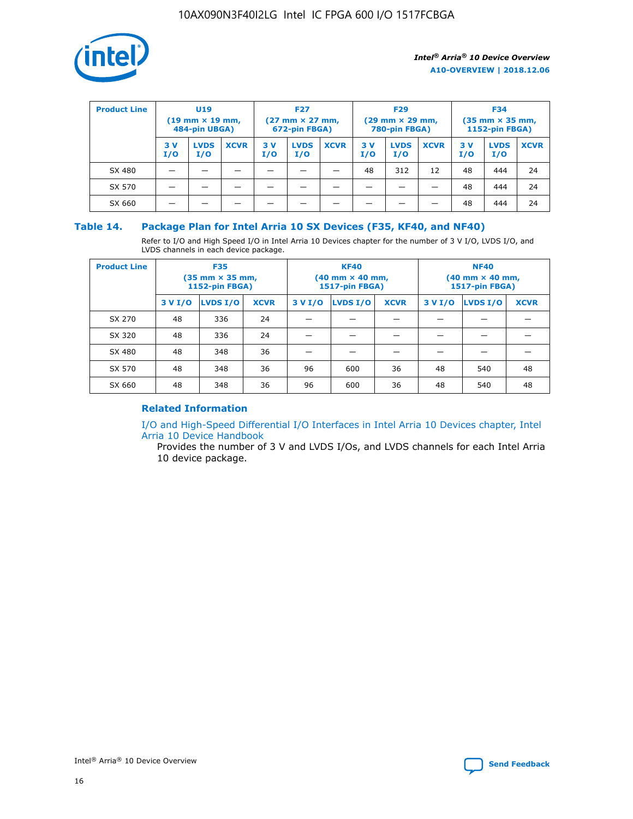

| <b>Product Line</b> | U <sub>19</sub><br>$(19 \text{ mm} \times 19 \text{ mm})$<br>484-pin UBGA) |                    | <b>F27</b><br>$(27 \text{ mm} \times 27 \text{ mm})$<br>672-pin FBGA) |           | <b>F29</b><br>$(29 \text{ mm} \times 29 \text{ mm})$<br>780-pin FBGA) |             |           | <b>F34</b><br>$(35 \text{ mm} \times 35 \text{ mm})$<br><b>1152-pin FBGA)</b> |             |           |                    |             |
|---------------------|----------------------------------------------------------------------------|--------------------|-----------------------------------------------------------------------|-----------|-----------------------------------------------------------------------|-------------|-----------|-------------------------------------------------------------------------------|-------------|-----------|--------------------|-------------|
|                     | 3 V<br>I/O                                                                 | <b>LVDS</b><br>I/O | <b>XCVR</b>                                                           | 3V<br>I/O | <b>LVDS</b><br>I/O                                                    | <b>XCVR</b> | 3V<br>I/O | <b>LVDS</b><br>I/O                                                            | <b>XCVR</b> | 3V<br>I/O | <b>LVDS</b><br>I/O | <b>XCVR</b> |
| SX 480              |                                                                            |                    |                                                                       |           |                                                                       |             | 48        | 312                                                                           | 12          | 48        | 444                | 24          |
| SX 570              |                                                                            |                    |                                                                       |           |                                                                       |             |           |                                                                               |             | 48        | 444                | 24          |
| SX 660              |                                                                            |                    |                                                                       |           |                                                                       |             |           |                                                                               |             | 48        | 444                | 24          |

## **Table 14. Package Plan for Intel Arria 10 SX Devices (F35, KF40, and NF40)**

Refer to I/O and High Speed I/O in Intel Arria 10 Devices chapter for the number of 3 V I/O, LVDS I/O, and LVDS channels in each device package.

| <b>Product Line</b> | <b>F35</b><br>(35 mm × 35 mm,<br><b>1152-pin FBGA)</b> |          |             |                                           | <b>KF40</b><br>(40 mm × 40 mm,<br>1517-pin FBGA) |    | <b>NF40</b><br>$(40 \text{ mm} \times 40 \text{ mm})$<br>1517-pin FBGA) |          |             |  |
|---------------------|--------------------------------------------------------|----------|-------------|-------------------------------------------|--------------------------------------------------|----|-------------------------------------------------------------------------|----------|-------------|--|
|                     | 3 V I/O                                                | LVDS I/O | <b>XCVR</b> | <b>LVDS I/O</b><br>3 V I/O<br><b>XCVR</b> |                                                  |    | 3 V I/O                                                                 | LVDS I/O | <b>XCVR</b> |  |
| SX 270              | 48                                                     | 336      | 24          |                                           |                                                  |    |                                                                         |          |             |  |
| SX 320              | 48                                                     | 336      | 24          |                                           |                                                  |    |                                                                         |          |             |  |
| SX 480              | 48                                                     | 348      | 36          |                                           |                                                  |    |                                                                         |          |             |  |
| SX 570              | 48                                                     | 348      | 36          | 96                                        | 600                                              | 36 | 48                                                                      | 540      | 48          |  |
| SX 660              | 48                                                     | 348      | 36          | 96                                        | 600                                              | 36 | 48                                                                      | 540      | 48          |  |

# **Related Information**

[I/O and High-Speed Differential I/O Interfaces in Intel Arria 10 Devices chapter, Intel](https://www.intel.com/content/www/us/en/programmable/documentation/sam1403482614086.html#sam1403482030321) [Arria 10 Device Handbook](https://www.intel.com/content/www/us/en/programmable/documentation/sam1403482614086.html#sam1403482030321)

Provides the number of 3 V and LVDS I/Os, and LVDS channels for each Intel Arria 10 device package.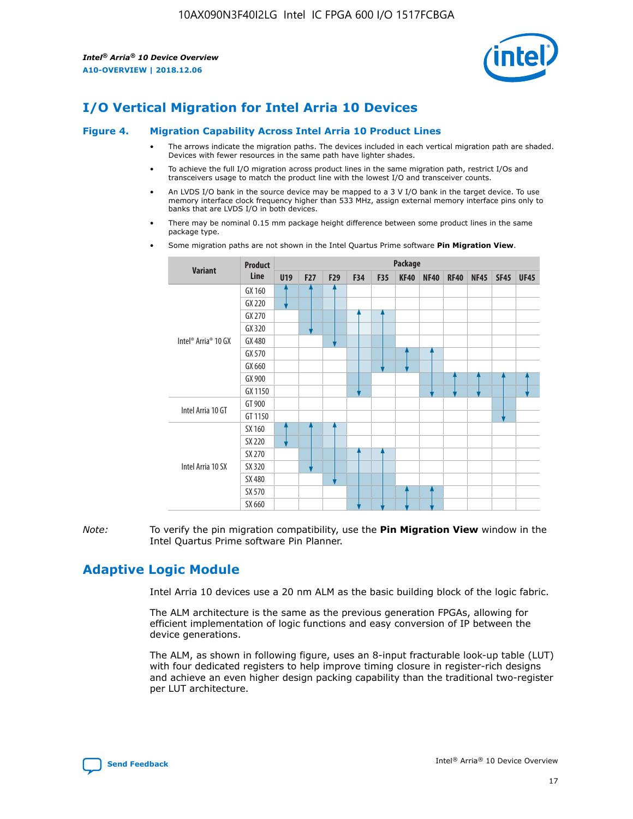

# **I/O Vertical Migration for Intel Arria 10 Devices**

#### **Figure 4. Migration Capability Across Intel Arria 10 Product Lines**

- The arrows indicate the migration paths. The devices included in each vertical migration path are shaded. Devices with fewer resources in the same path have lighter shades.
- To achieve the full I/O migration across product lines in the same migration path, restrict I/Os and transceivers usage to match the product line with the lowest I/O and transceiver counts.
- An LVDS I/O bank in the source device may be mapped to a 3 V I/O bank in the target device. To use memory interface clock frequency higher than 533 MHz, assign external memory interface pins only to banks that are LVDS I/O in both devices.
- There may be nominal 0.15 mm package height difference between some product lines in the same package type.
	- **Variant Product Line Package U19 F27 F29 F34 F35 KF40 NF40 RF40 NF45 SF45 UF45** Intel® Arria® 10 GX GX 160 GX 220 GX 270 GX 320 GX 480 GX 570 GX 660 GX 900 GX 1150 Intel Arria 10 GT GT 900 GT 1150 Intel Arria 10 SX SX 160 SX 220 SX 270 SX 320 SX 480 SX 570 SX 660
- Some migration paths are not shown in the Intel Quartus Prime software **Pin Migration View**.

*Note:* To verify the pin migration compatibility, use the **Pin Migration View** window in the Intel Quartus Prime software Pin Planner.

# **Adaptive Logic Module**

Intel Arria 10 devices use a 20 nm ALM as the basic building block of the logic fabric.

The ALM architecture is the same as the previous generation FPGAs, allowing for efficient implementation of logic functions and easy conversion of IP between the device generations.

The ALM, as shown in following figure, uses an 8-input fracturable look-up table (LUT) with four dedicated registers to help improve timing closure in register-rich designs and achieve an even higher design packing capability than the traditional two-register per LUT architecture.

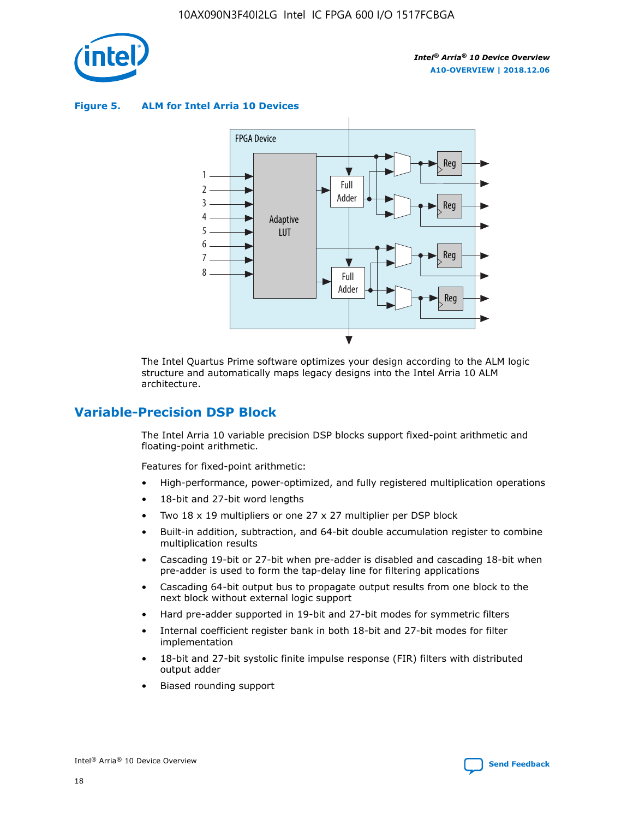

**Figure 5. ALM for Intel Arria 10 Devices**



The Intel Quartus Prime software optimizes your design according to the ALM logic structure and automatically maps legacy designs into the Intel Arria 10 ALM architecture.

# **Variable-Precision DSP Block**

The Intel Arria 10 variable precision DSP blocks support fixed-point arithmetic and floating-point arithmetic.

Features for fixed-point arithmetic:

- High-performance, power-optimized, and fully registered multiplication operations
- 18-bit and 27-bit word lengths
- Two 18 x 19 multipliers or one 27 x 27 multiplier per DSP block
- Built-in addition, subtraction, and 64-bit double accumulation register to combine multiplication results
- Cascading 19-bit or 27-bit when pre-adder is disabled and cascading 18-bit when pre-adder is used to form the tap-delay line for filtering applications
- Cascading 64-bit output bus to propagate output results from one block to the next block without external logic support
- Hard pre-adder supported in 19-bit and 27-bit modes for symmetric filters
- Internal coefficient register bank in both 18-bit and 27-bit modes for filter implementation
- 18-bit and 27-bit systolic finite impulse response (FIR) filters with distributed output adder
- Biased rounding support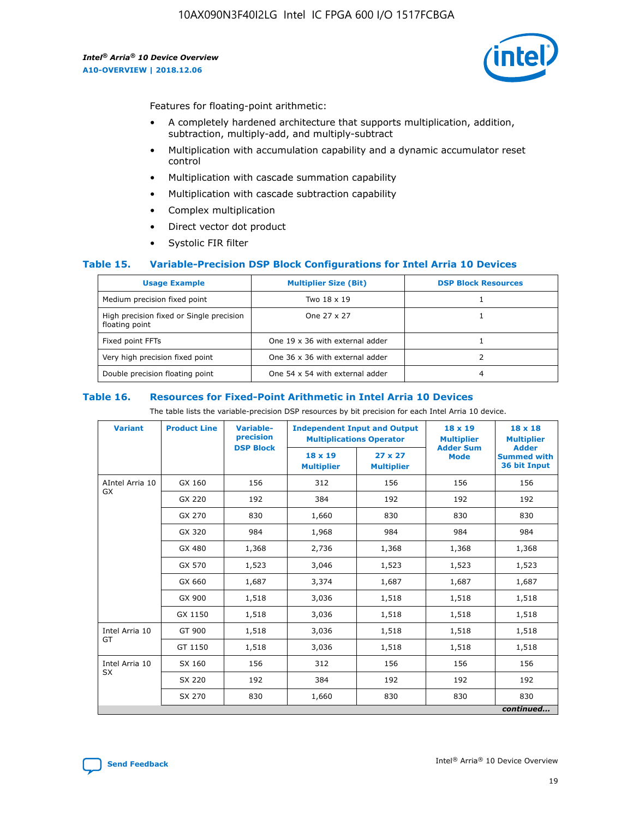

Features for floating-point arithmetic:

- A completely hardened architecture that supports multiplication, addition, subtraction, multiply-add, and multiply-subtract
- Multiplication with accumulation capability and a dynamic accumulator reset control
- Multiplication with cascade summation capability
- Multiplication with cascade subtraction capability
- Complex multiplication
- Direct vector dot product
- Systolic FIR filter

#### **Table 15. Variable-Precision DSP Block Configurations for Intel Arria 10 Devices**

| <b>Usage Example</b>                                       | <b>Multiplier Size (Bit)</b>    | <b>DSP Block Resources</b> |
|------------------------------------------------------------|---------------------------------|----------------------------|
| Medium precision fixed point                               | Two 18 x 19                     |                            |
| High precision fixed or Single precision<br>floating point | One 27 x 27                     |                            |
| Fixed point FFTs                                           | One 19 x 36 with external adder |                            |
| Very high precision fixed point                            | One 36 x 36 with external adder |                            |
| Double precision floating point                            | One 54 x 54 with external adder | 4                          |

#### **Table 16. Resources for Fixed-Point Arithmetic in Intel Arria 10 Devices**

The table lists the variable-precision DSP resources by bit precision for each Intel Arria 10 device.

| <b>Variant</b>        | <b>Product Line</b> | Variable-<br>precision<br><b>DSP Block</b> | <b>Independent Input and Output</b><br><b>Multiplications Operator</b> |                                     | 18 x 19<br><b>Multiplier</b><br><b>Adder Sum</b> | $18 \times 18$<br><b>Multiplier</b><br><b>Adder</b> |
|-----------------------|---------------------|--------------------------------------------|------------------------------------------------------------------------|-------------------------------------|--------------------------------------------------|-----------------------------------------------------|
|                       |                     |                                            | 18 x 19<br><b>Multiplier</b>                                           | $27 \times 27$<br><b>Multiplier</b> | <b>Mode</b>                                      | <b>Summed with</b><br>36 bit Input                  |
| AIntel Arria 10<br>GX | GX 160              | 156                                        | 312                                                                    | 156                                 | 156                                              | 156                                                 |
|                       | GX 220              | 192                                        | 384                                                                    | 192                                 | 192                                              | 192                                                 |
|                       | GX 270              | 830                                        | 1,660                                                                  | 830                                 | 830                                              | 830                                                 |
|                       | GX 320              | 984                                        | 1,968                                                                  | 984                                 | 984                                              | 984                                                 |
|                       | GX 480              | 1,368                                      | 2,736                                                                  | 1,368                               | 1,368                                            | 1,368                                               |
|                       | GX 570              | 1,523                                      | 3,046                                                                  | 1,523                               | 1,523                                            | 1,523                                               |
|                       | GX 660              | 1,687                                      | 3,374                                                                  | 1,687                               | 1,687                                            | 1,687                                               |
|                       | GX 900              | 1,518                                      | 3,036                                                                  | 1,518                               | 1,518                                            | 1,518                                               |
|                       | GX 1150             | 1,518                                      | 3,036                                                                  | 1,518                               | 1,518                                            | 1,518                                               |
| Intel Arria 10        | GT 900              | 1,518                                      | 3,036                                                                  | 1,518                               | 1,518                                            | 1,518                                               |
| GT                    | GT 1150             | 1,518                                      | 3,036                                                                  | 1,518                               | 1,518                                            | 1,518                                               |
| Intel Arria 10        | SX 160              | 156                                        | 312                                                                    | 156                                 | 156                                              | 156                                                 |
| <b>SX</b>             | SX 220              | 192                                        | 384                                                                    | 192                                 | 192                                              | 192                                                 |
|                       | SX 270              | 830                                        | 1,660                                                                  | 830                                 | 830                                              | 830                                                 |
|                       |                     |                                            |                                                                        |                                     |                                                  | continued                                           |

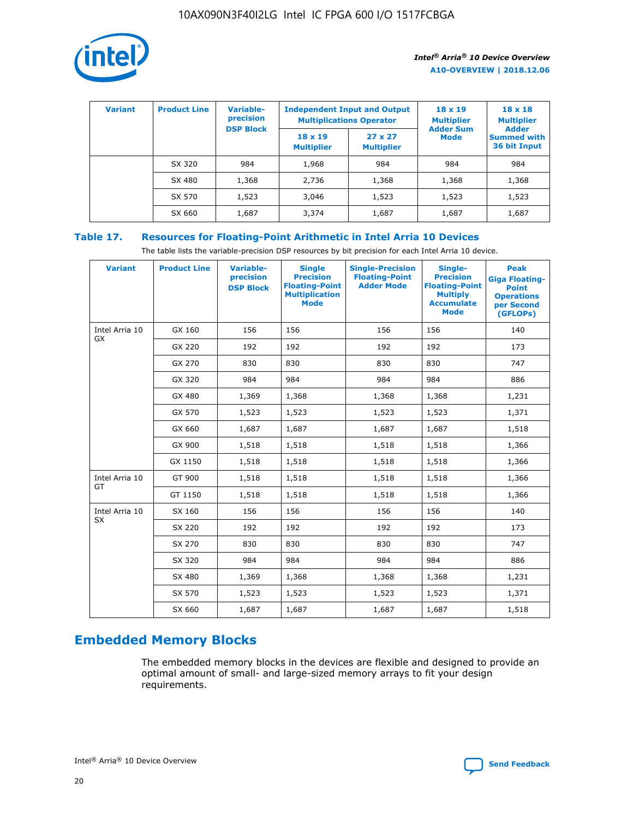

| <b>Variant</b> | <b>Product Line</b> | <b>Variable-</b><br>precision<br><b>DSP Block</b> | <b>Independent Input and Output</b><br><b>Multiplications Operator</b> |                                     | $18 \times 19$<br><b>Multiplier</b><br><b>Adder Sum</b> | $18 \times 18$<br><b>Multiplier</b><br><b>Adder</b> |  |
|----------------|---------------------|---------------------------------------------------|------------------------------------------------------------------------|-------------------------------------|---------------------------------------------------------|-----------------------------------------------------|--|
|                |                     |                                                   | $18 \times 19$<br><b>Multiplier</b>                                    | $27 \times 27$<br><b>Multiplier</b> | <b>Mode</b>                                             | <b>Summed with</b><br>36 bit Input                  |  |
|                | SX 320              | 984                                               | 1,968                                                                  | 984                                 | 984                                                     | 984                                                 |  |
|                | SX 480              | 1,368                                             | 2,736                                                                  | 1,368                               | 1,368                                                   | 1,368                                               |  |
|                | SX 570              | 1,523                                             | 3,046                                                                  | 1,523                               | 1,523                                                   | 1,523                                               |  |
|                | SX 660              | 1,687                                             | 3,374                                                                  | 1,687                               | 1,687                                                   | 1,687                                               |  |

# **Table 17. Resources for Floating-Point Arithmetic in Intel Arria 10 Devices**

The table lists the variable-precision DSP resources by bit precision for each Intel Arria 10 device.

| <b>Variant</b> | <b>Product Line</b> | <b>Variable-</b><br>precision<br><b>DSP Block</b> | <b>Single</b><br><b>Precision</b><br><b>Floating-Point</b><br><b>Multiplication</b><br><b>Mode</b> | <b>Single-Precision</b><br><b>Floating-Point</b><br><b>Adder Mode</b> | Single-<br><b>Precision</b><br><b>Floating-Point</b><br><b>Multiply</b><br><b>Accumulate</b><br><b>Mode</b> | <b>Peak</b><br><b>Giga Floating-</b><br><b>Point</b><br><b>Operations</b><br>per Second<br>(GFLOPs) |
|----------------|---------------------|---------------------------------------------------|----------------------------------------------------------------------------------------------------|-----------------------------------------------------------------------|-------------------------------------------------------------------------------------------------------------|-----------------------------------------------------------------------------------------------------|
| Intel Arria 10 | GX 160              | 156                                               | 156                                                                                                | 156                                                                   | 156                                                                                                         | 140                                                                                                 |
| GX             | GX 220              | 192                                               | 192                                                                                                | 192                                                                   | 192                                                                                                         | 173                                                                                                 |
|                | GX 270              | 830                                               | 830                                                                                                | 830                                                                   | 830                                                                                                         | 747                                                                                                 |
|                | GX 320              | 984                                               | 984                                                                                                | 984                                                                   | 984                                                                                                         | 886                                                                                                 |
|                | GX 480              | 1,369                                             | 1,368                                                                                              | 1,368                                                                 | 1,368                                                                                                       | 1,231                                                                                               |
|                | GX 570              | 1,523                                             | 1,523                                                                                              | 1,523                                                                 | 1,523                                                                                                       | 1,371                                                                                               |
|                | GX 660              | 1,687                                             | 1,687                                                                                              | 1,687                                                                 | 1,687                                                                                                       | 1,518                                                                                               |
|                | GX 900              | 1,518                                             | 1,518                                                                                              | 1,518                                                                 | 1,518                                                                                                       | 1,366                                                                                               |
|                | GX 1150             | 1,518                                             | 1,518                                                                                              | 1,518                                                                 | 1,518                                                                                                       | 1,366                                                                                               |
| Intel Arria 10 | GT 900              | 1,518                                             | 1,518                                                                                              | 1,518                                                                 | 1,518                                                                                                       | 1,366                                                                                               |
| GT             | GT 1150             | 1,518                                             | 1,518                                                                                              | 1,518                                                                 | 1,518                                                                                                       | 1,366                                                                                               |
| Intel Arria 10 | SX 160              | 156                                               | 156                                                                                                | 156                                                                   | 156                                                                                                         | 140                                                                                                 |
| <b>SX</b>      | SX 220              | 192                                               | 192                                                                                                | 192                                                                   | 192                                                                                                         | 173                                                                                                 |
|                | SX 270              | 830                                               | 830                                                                                                | 830                                                                   | 830                                                                                                         | 747                                                                                                 |
|                | SX 320              | 984                                               | 984                                                                                                | 984                                                                   | 984                                                                                                         | 886                                                                                                 |
|                | SX 480              | 1,369                                             | 1,368                                                                                              | 1,368                                                                 | 1,368                                                                                                       | 1,231                                                                                               |
|                | SX 570              | 1,523                                             | 1,523                                                                                              | 1,523                                                                 | 1,523                                                                                                       | 1,371                                                                                               |
|                | SX 660              | 1,687                                             | 1,687                                                                                              | 1,687                                                                 | 1,687                                                                                                       | 1,518                                                                                               |

# **Embedded Memory Blocks**

The embedded memory blocks in the devices are flexible and designed to provide an optimal amount of small- and large-sized memory arrays to fit your design requirements.

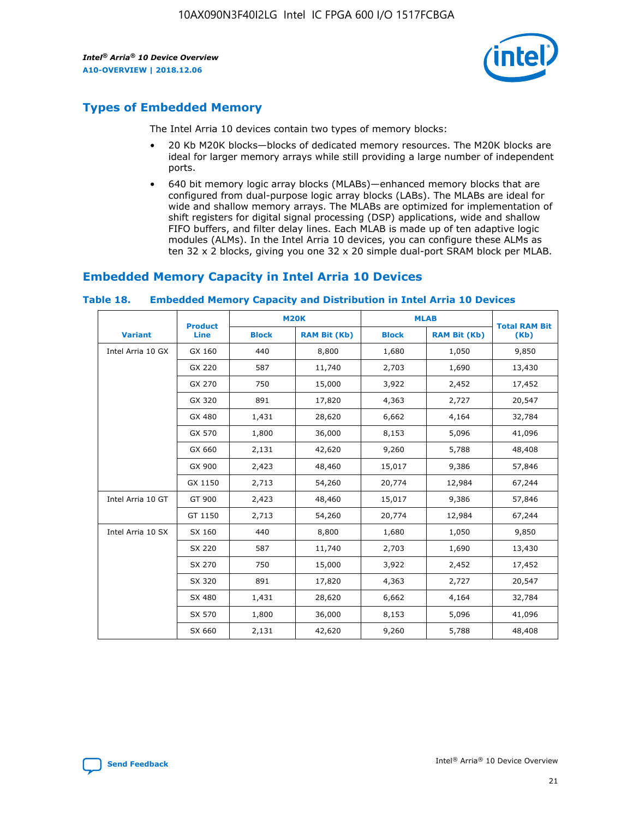

# **Types of Embedded Memory**

The Intel Arria 10 devices contain two types of memory blocks:

- 20 Kb M20K blocks—blocks of dedicated memory resources. The M20K blocks are ideal for larger memory arrays while still providing a large number of independent ports.
- 640 bit memory logic array blocks (MLABs)—enhanced memory blocks that are configured from dual-purpose logic array blocks (LABs). The MLABs are ideal for wide and shallow memory arrays. The MLABs are optimized for implementation of shift registers for digital signal processing (DSP) applications, wide and shallow FIFO buffers, and filter delay lines. Each MLAB is made up of ten adaptive logic modules (ALMs). In the Intel Arria 10 devices, you can configure these ALMs as ten 32 x 2 blocks, giving you one 32 x 20 simple dual-port SRAM block per MLAB.

# **Embedded Memory Capacity in Intel Arria 10 Devices**

|                   | <b>Product</b> |              | <b>M20K</b>         | <b>MLAB</b>  |                     | <b>Total RAM Bit</b> |
|-------------------|----------------|--------------|---------------------|--------------|---------------------|----------------------|
| <b>Variant</b>    | Line           | <b>Block</b> | <b>RAM Bit (Kb)</b> | <b>Block</b> | <b>RAM Bit (Kb)</b> | (Kb)                 |
| Intel Arria 10 GX | GX 160         | 440          | 8,800               | 1,680        | 1,050               | 9,850                |
|                   | GX 220         | 587          | 11,740              | 2,703        | 1,690               | 13,430               |
|                   | GX 270         | 750          | 15,000              | 3,922        | 2,452               | 17,452               |
|                   | GX 320         | 891          | 17,820              | 4,363        | 2,727               | 20,547               |
|                   | GX 480         | 1,431        | 28,620              | 6,662        | 4,164               | 32,784               |
|                   | GX 570         | 1,800        | 36,000              | 8,153        | 5,096               | 41,096               |
|                   | GX 660         | 2,131        | 42,620              | 9,260        | 5,788               | 48,408               |
|                   | GX 900         | 2,423        | 48,460              | 15,017       | 9,386               | 57,846               |
|                   | GX 1150        | 2,713        | 54,260              | 20,774       | 12,984              | 67,244               |
| Intel Arria 10 GT | GT 900         | 2,423        | 48,460              | 15,017       | 9,386               | 57,846               |
|                   | GT 1150        | 2,713        | 54,260              | 20,774       | 12,984              | 67,244               |
| Intel Arria 10 SX | SX 160         | 440          | 8,800               | 1,680        | 1,050               | 9,850                |
|                   | SX 220         | 587          | 11,740              | 2,703        | 1,690               | 13,430               |
|                   | SX 270         | 750          | 15,000              | 3,922        | 2,452               | 17,452               |
|                   | SX 320         | 891          | 17,820              | 4,363        | 2,727               | 20,547               |
|                   | SX 480         | 1,431        | 28,620              | 6,662        | 4,164               | 32,784               |
|                   | SX 570         | 1,800        | 36,000              | 8,153        | 5,096               | 41,096               |
|                   | SX 660         | 2,131        | 42,620              | 9,260        | 5,788               | 48,408               |

#### **Table 18. Embedded Memory Capacity and Distribution in Intel Arria 10 Devices**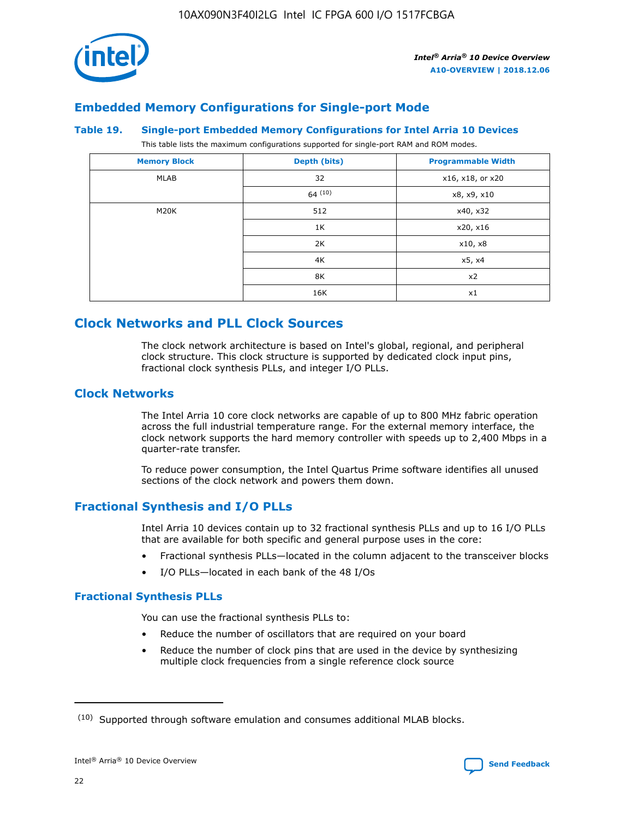

# **Embedded Memory Configurations for Single-port Mode**

#### **Table 19. Single-port Embedded Memory Configurations for Intel Arria 10 Devices**

This table lists the maximum configurations supported for single-port RAM and ROM modes.

| <b>Memory Block</b> | Depth (bits) | <b>Programmable Width</b> |
|---------------------|--------------|---------------------------|
| MLAB                | 32           | x16, x18, or x20          |
|                     | 64(10)       | x8, x9, x10               |
| M20K                | 512          | x40, x32                  |
|                     | 1K           | x20, x16                  |
|                     | 2K           | x10, x8                   |
|                     | 4K           | x5, x4                    |
|                     | 8K           | x2                        |
|                     | 16K          | x1                        |

# **Clock Networks and PLL Clock Sources**

The clock network architecture is based on Intel's global, regional, and peripheral clock structure. This clock structure is supported by dedicated clock input pins, fractional clock synthesis PLLs, and integer I/O PLLs.

# **Clock Networks**

The Intel Arria 10 core clock networks are capable of up to 800 MHz fabric operation across the full industrial temperature range. For the external memory interface, the clock network supports the hard memory controller with speeds up to 2,400 Mbps in a quarter-rate transfer.

To reduce power consumption, the Intel Quartus Prime software identifies all unused sections of the clock network and powers them down.

# **Fractional Synthesis and I/O PLLs**

Intel Arria 10 devices contain up to 32 fractional synthesis PLLs and up to 16 I/O PLLs that are available for both specific and general purpose uses in the core:

- Fractional synthesis PLLs—located in the column adjacent to the transceiver blocks
- I/O PLLs—located in each bank of the 48 I/Os

# **Fractional Synthesis PLLs**

You can use the fractional synthesis PLLs to:

- Reduce the number of oscillators that are required on your board
- Reduce the number of clock pins that are used in the device by synthesizing multiple clock frequencies from a single reference clock source

<sup>(10)</sup> Supported through software emulation and consumes additional MLAB blocks.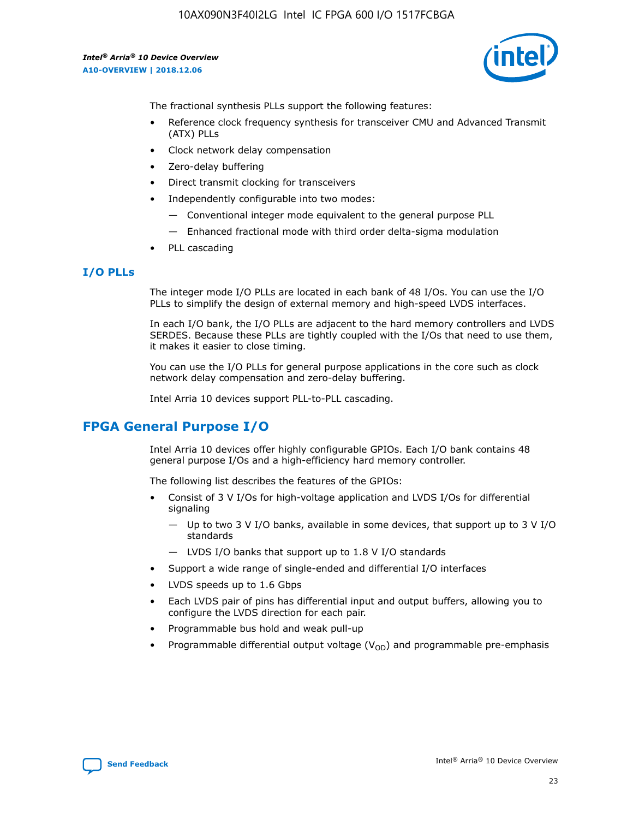

The fractional synthesis PLLs support the following features:

- Reference clock frequency synthesis for transceiver CMU and Advanced Transmit (ATX) PLLs
- Clock network delay compensation
- Zero-delay buffering
- Direct transmit clocking for transceivers
- Independently configurable into two modes:
	- Conventional integer mode equivalent to the general purpose PLL
	- Enhanced fractional mode with third order delta-sigma modulation
- PLL cascading

# **I/O PLLs**

The integer mode I/O PLLs are located in each bank of 48 I/Os. You can use the I/O PLLs to simplify the design of external memory and high-speed LVDS interfaces.

In each I/O bank, the I/O PLLs are adjacent to the hard memory controllers and LVDS SERDES. Because these PLLs are tightly coupled with the I/Os that need to use them, it makes it easier to close timing.

You can use the I/O PLLs for general purpose applications in the core such as clock network delay compensation and zero-delay buffering.

Intel Arria 10 devices support PLL-to-PLL cascading.

# **FPGA General Purpose I/O**

Intel Arria 10 devices offer highly configurable GPIOs. Each I/O bank contains 48 general purpose I/Os and a high-efficiency hard memory controller.

The following list describes the features of the GPIOs:

- Consist of 3 V I/Os for high-voltage application and LVDS I/Os for differential signaling
	- Up to two 3 V I/O banks, available in some devices, that support up to 3 V I/O standards
	- LVDS I/O banks that support up to 1.8 V I/O standards
- Support a wide range of single-ended and differential I/O interfaces
- LVDS speeds up to 1.6 Gbps
- Each LVDS pair of pins has differential input and output buffers, allowing you to configure the LVDS direction for each pair.
- Programmable bus hold and weak pull-up
- Programmable differential output voltage  $(V_{OD})$  and programmable pre-emphasis

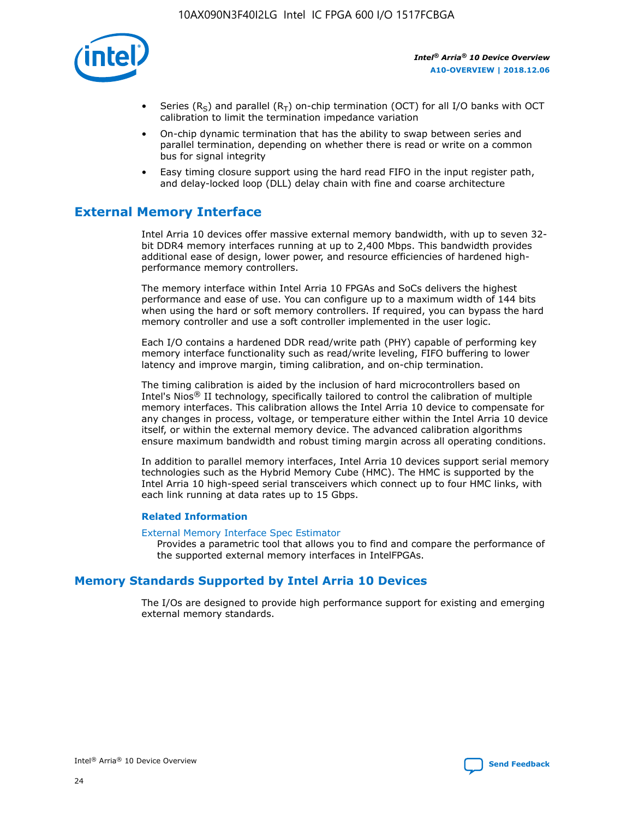

- Series (R<sub>S</sub>) and parallel (R<sub>T</sub>) on-chip termination (OCT) for all I/O banks with OCT calibration to limit the termination impedance variation
- On-chip dynamic termination that has the ability to swap between series and parallel termination, depending on whether there is read or write on a common bus for signal integrity
- Easy timing closure support using the hard read FIFO in the input register path, and delay-locked loop (DLL) delay chain with fine and coarse architecture

# **External Memory Interface**

Intel Arria 10 devices offer massive external memory bandwidth, with up to seven 32 bit DDR4 memory interfaces running at up to 2,400 Mbps. This bandwidth provides additional ease of design, lower power, and resource efficiencies of hardened highperformance memory controllers.

The memory interface within Intel Arria 10 FPGAs and SoCs delivers the highest performance and ease of use. You can configure up to a maximum width of 144 bits when using the hard or soft memory controllers. If required, you can bypass the hard memory controller and use a soft controller implemented in the user logic.

Each I/O contains a hardened DDR read/write path (PHY) capable of performing key memory interface functionality such as read/write leveling, FIFO buffering to lower latency and improve margin, timing calibration, and on-chip termination.

The timing calibration is aided by the inclusion of hard microcontrollers based on Intel's Nios® II technology, specifically tailored to control the calibration of multiple memory interfaces. This calibration allows the Intel Arria 10 device to compensate for any changes in process, voltage, or temperature either within the Intel Arria 10 device itself, or within the external memory device. The advanced calibration algorithms ensure maximum bandwidth and robust timing margin across all operating conditions.

In addition to parallel memory interfaces, Intel Arria 10 devices support serial memory technologies such as the Hybrid Memory Cube (HMC). The HMC is supported by the Intel Arria 10 high-speed serial transceivers which connect up to four HMC links, with each link running at data rates up to 15 Gbps.

#### **Related Information**

#### [External Memory Interface Spec Estimator](http://www.altera.com/technology/memory/estimator/mem-emif-index.html)

Provides a parametric tool that allows you to find and compare the performance of the supported external memory interfaces in IntelFPGAs.

# **Memory Standards Supported by Intel Arria 10 Devices**

The I/Os are designed to provide high performance support for existing and emerging external memory standards.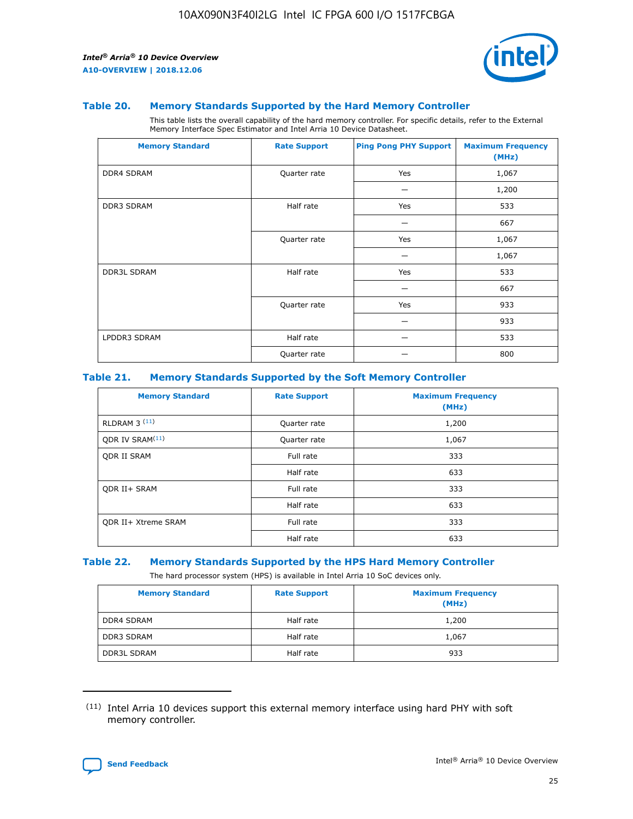

#### **Table 20. Memory Standards Supported by the Hard Memory Controller**

This table lists the overall capability of the hard memory controller. For specific details, refer to the External Memory Interface Spec Estimator and Intel Arria 10 Device Datasheet.

| <b>Memory Standard</b> | <b>Rate Support</b> | <b>Ping Pong PHY Support</b> | <b>Maximum Frequency</b><br>(MHz) |
|------------------------|---------------------|------------------------------|-----------------------------------|
| <b>DDR4 SDRAM</b>      | Quarter rate        | Yes                          | 1,067                             |
|                        |                     |                              | 1,200                             |
| DDR3 SDRAM             | Half rate           | Yes                          | 533                               |
|                        |                     |                              | 667                               |
|                        | Quarter rate        | Yes                          | 1,067                             |
|                        |                     |                              | 1,067                             |
| <b>DDR3L SDRAM</b>     | Half rate           | Yes                          | 533                               |
|                        |                     |                              | 667                               |
|                        | Quarter rate        | Yes                          | 933                               |
|                        |                     |                              | 933                               |
| LPDDR3 SDRAM           | Half rate           |                              | 533                               |
|                        | Quarter rate        |                              | 800                               |

#### **Table 21. Memory Standards Supported by the Soft Memory Controller**

| <b>Memory Standard</b>      | <b>Rate Support</b> | <b>Maximum Frequency</b><br>(MHz) |
|-----------------------------|---------------------|-----------------------------------|
| <b>RLDRAM 3 (11)</b>        | Quarter rate        | 1,200                             |
| ODR IV SRAM <sup>(11)</sup> | Quarter rate        | 1,067                             |
| <b>ODR II SRAM</b>          | Full rate           | 333                               |
|                             | Half rate           | 633                               |
| <b>ODR II+ SRAM</b>         | Full rate           | 333                               |
|                             | Half rate           | 633                               |
| <b>ODR II+ Xtreme SRAM</b>  | Full rate           | 333                               |
|                             | Half rate           | 633                               |

#### **Table 22. Memory Standards Supported by the HPS Hard Memory Controller**

The hard processor system (HPS) is available in Intel Arria 10 SoC devices only.

| <b>Memory Standard</b> | <b>Rate Support</b> | <b>Maximum Frequency</b><br>(MHz) |
|------------------------|---------------------|-----------------------------------|
| <b>DDR4 SDRAM</b>      | Half rate           | 1,200                             |
| <b>DDR3 SDRAM</b>      | Half rate           | 1,067                             |
| <b>DDR3L SDRAM</b>     | Half rate           | 933                               |

<sup>(11)</sup> Intel Arria 10 devices support this external memory interface using hard PHY with soft memory controller.

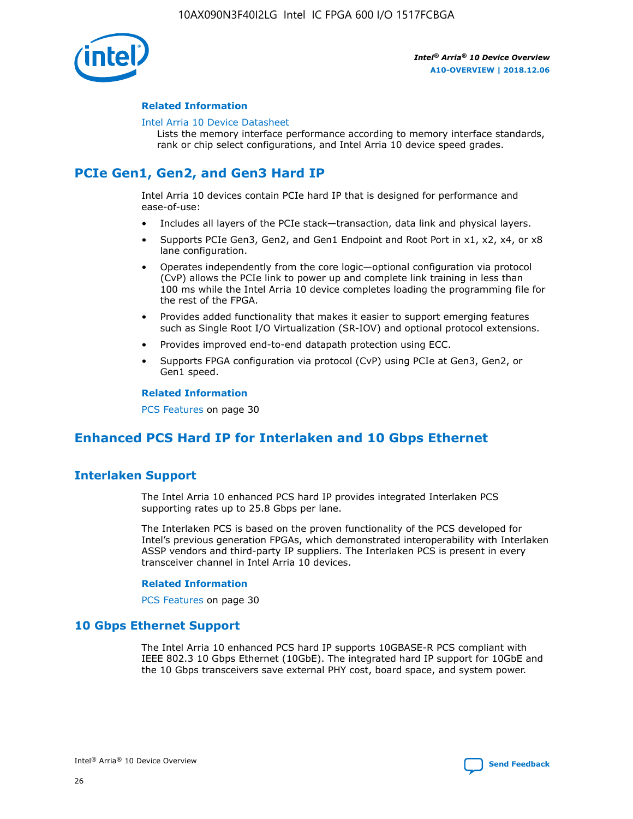

#### **Related Information**

#### [Intel Arria 10 Device Datasheet](https://www.intel.com/content/www/us/en/programmable/documentation/mcn1413182292568.html#mcn1413182153340)

Lists the memory interface performance according to memory interface standards, rank or chip select configurations, and Intel Arria 10 device speed grades.

# **PCIe Gen1, Gen2, and Gen3 Hard IP**

Intel Arria 10 devices contain PCIe hard IP that is designed for performance and ease-of-use:

- Includes all layers of the PCIe stack—transaction, data link and physical layers.
- Supports PCIe Gen3, Gen2, and Gen1 Endpoint and Root Port in x1, x2, x4, or x8 lane configuration.
- Operates independently from the core logic—optional configuration via protocol (CvP) allows the PCIe link to power up and complete link training in less than 100 ms while the Intel Arria 10 device completes loading the programming file for the rest of the FPGA.
- Provides added functionality that makes it easier to support emerging features such as Single Root I/O Virtualization (SR-IOV) and optional protocol extensions.
- Provides improved end-to-end datapath protection using ECC.
- Supports FPGA configuration via protocol (CvP) using PCIe at Gen3, Gen2, or Gen1 speed.

#### **Related Information**

PCS Features on page 30

# **Enhanced PCS Hard IP for Interlaken and 10 Gbps Ethernet**

# **Interlaken Support**

The Intel Arria 10 enhanced PCS hard IP provides integrated Interlaken PCS supporting rates up to 25.8 Gbps per lane.

The Interlaken PCS is based on the proven functionality of the PCS developed for Intel's previous generation FPGAs, which demonstrated interoperability with Interlaken ASSP vendors and third-party IP suppliers. The Interlaken PCS is present in every transceiver channel in Intel Arria 10 devices.

#### **Related Information**

PCS Features on page 30

# **10 Gbps Ethernet Support**

The Intel Arria 10 enhanced PCS hard IP supports 10GBASE-R PCS compliant with IEEE 802.3 10 Gbps Ethernet (10GbE). The integrated hard IP support for 10GbE and the 10 Gbps transceivers save external PHY cost, board space, and system power.

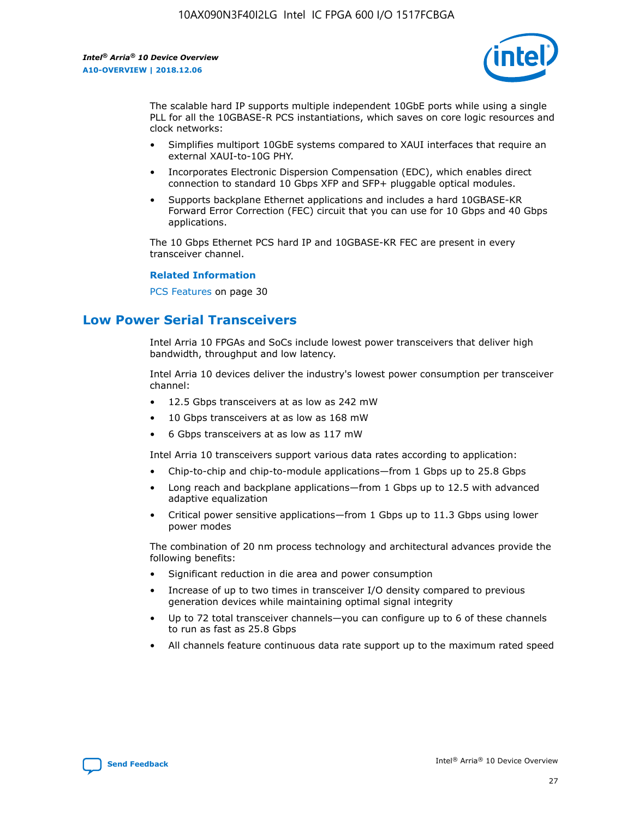

The scalable hard IP supports multiple independent 10GbE ports while using a single PLL for all the 10GBASE-R PCS instantiations, which saves on core logic resources and clock networks:

- Simplifies multiport 10GbE systems compared to XAUI interfaces that require an external XAUI-to-10G PHY.
- Incorporates Electronic Dispersion Compensation (EDC), which enables direct connection to standard 10 Gbps XFP and SFP+ pluggable optical modules.
- Supports backplane Ethernet applications and includes a hard 10GBASE-KR Forward Error Correction (FEC) circuit that you can use for 10 Gbps and 40 Gbps applications.

The 10 Gbps Ethernet PCS hard IP and 10GBASE-KR FEC are present in every transceiver channel.

#### **Related Information**

PCS Features on page 30

# **Low Power Serial Transceivers**

Intel Arria 10 FPGAs and SoCs include lowest power transceivers that deliver high bandwidth, throughput and low latency.

Intel Arria 10 devices deliver the industry's lowest power consumption per transceiver channel:

- 12.5 Gbps transceivers at as low as 242 mW
- 10 Gbps transceivers at as low as 168 mW
- 6 Gbps transceivers at as low as 117 mW

Intel Arria 10 transceivers support various data rates according to application:

- Chip-to-chip and chip-to-module applications—from 1 Gbps up to 25.8 Gbps
- Long reach and backplane applications—from 1 Gbps up to 12.5 with advanced adaptive equalization
- Critical power sensitive applications—from 1 Gbps up to 11.3 Gbps using lower power modes

The combination of 20 nm process technology and architectural advances provide the following benefits:

- Significant reduction in die area and power consumption
- Increase of up to two times in transceiver I/O density compared to previous generation devices while maintaining optimal signal integrity
- Up to 72 total transceiver channels—you can configure up to 6 of these channels to run as fast as 25.8 Gbps
- All channels feature continuous data rate support up to the maximum rated speed

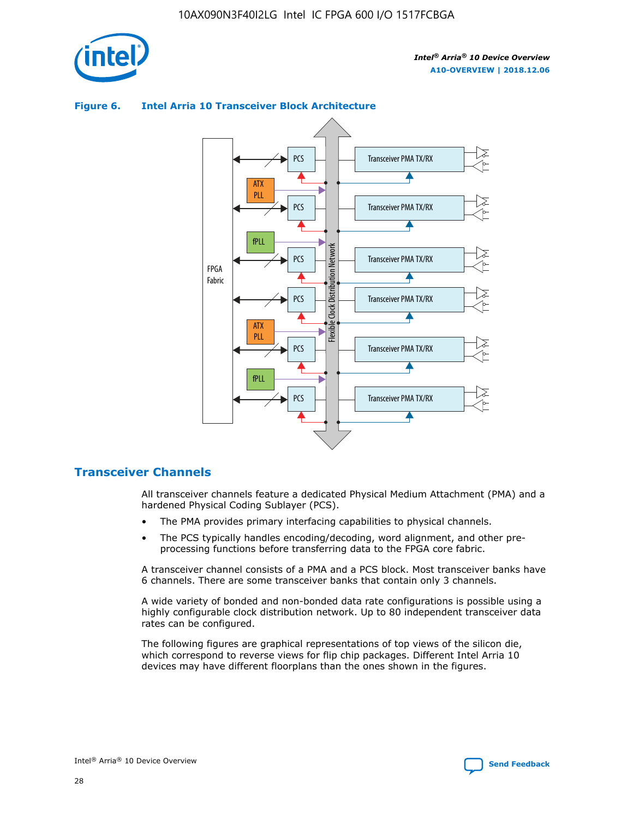

#### Transceiver PMA TX/RX PCS ATX PLL Transceiver PMA TX/RX PCS fPLL Network Flexible Clock Distribution Network PCS Transceiver PMA TX/RX FPGA **Clock Distribution** Fabric PCS Transceiver PMA TX/RX ATX Flexible PLL PCS Transceiver PMA TX/RX ▲ fPLL Transceiver PMA TX/RX PCS

## **Figure 6. Intel Arria 10 Transceiver Block Architecture**

# **Transceiver Channels**

All transceiver channels feature a dedicated Physical Medium Attachment (PMA) and a hardened Physical Coding Sublayer (PCS).

4

- The PMA provides primary interfacing capabilities to physical channels.
- The PCS typically handles encoding/decoding, word alignment, and other preprocessing functions before transferring data to the FPGA core fabric.

A transceiver channel consists of a PMA and a PCS block. Most transceiver banks have 6 channels. There are some transceiver banks that contain only 3 channels.

A wide variety of bonded and non-bonded data rate configurations is possible using a highly configurable clock distribution network. Up to 80 independent transceiver data rates can be configured.

The following figures are graphical representations of top views of the silicon die, which correspond to reverse views for flip chip packages. Different Intel Arria 10 devices may have different floorplans than the ones shown in the figures.

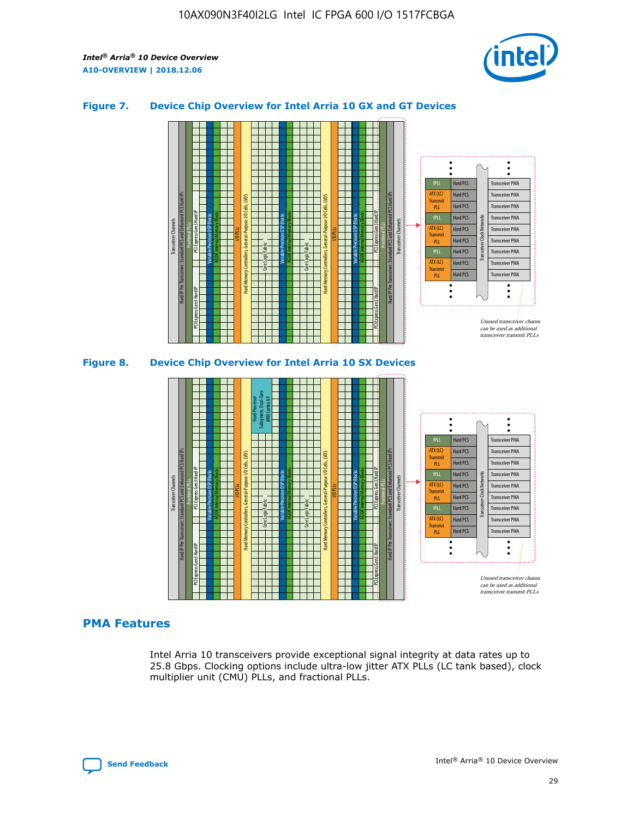

## **Figure 7. Device Chip Overview for Intel Arria 10 GX and GT Devices**





# **PMA Features**

Intel Arria 10 transceivers provide exceptional signal integrity at data rates up to 25.8 Gbps. Clocking options include ultra-low jitter ATX PLLs (LC tank based), clock multiplier unit (CMU) PLLs, and fractional PLLs.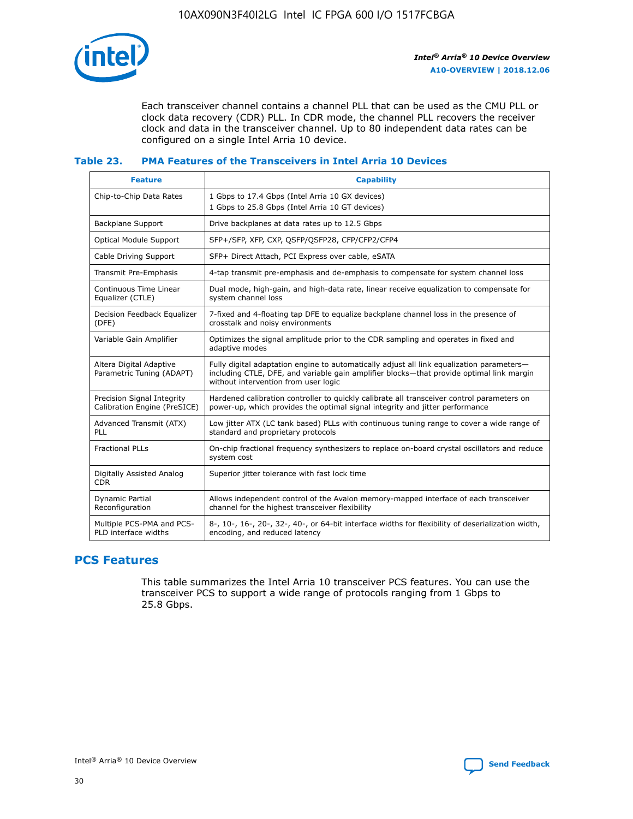

Each transceiver channel contains a channel PLL that can be used as the CMU PLL or clock data recovery (CDR) PLL. In CDR mode, the channel PLL recovers the receiver clock and data in the transceiver channel. Up to 80 independent data rates can be configured on a single Intel Arria 10 device.

## **Table 23. PMA Features of the Transceivers in Intel Arria 10 Devices**

| <b>Feature</b>                                             | <b>Capability</b>                                                                                                                                                                                                             |
|------------------------------------------------------------|-------------------------------------------------------------------------------------------------------------------------------------------------------------------------------------------------------------------------------|
| Chip-to-Chip Data Rates                                    | 1 Gbps to 17.4 Gbps (Intel Arria 10 GX devices)<br>1 Gbps to 25.8 Gbps (Intel Arria 10 GT devices)                                                                                                                            |
| Backplane Support                                          | Drive backplanes at data rates up to 12.5 Gbps                                                                                                                                                                                |
| <b>Optical Module Support</b>                              | SFP+/SFP, XFP, CXP, QSFP/QSFP28, CFP/CFP2/CFP4                                                                                                                                                                                |
| Cable Driving Support                                      | SFP+ Direct Attach, PCI Express over cable, eSATA                                                                                                                                                                             |
| Transmit Pre-Emphasis                                      | 4-tap transmit pre-emphasis and de-emphasis to compensate for system channel loss                                                                                                                                             |
| Continuous Time Linear<br>Equalizer (CTLE)                 | Dual mode, high-gain, and high-data rate, linear receive equalization to compensate for<br>system channel loss                                                                                                                |
| Decision Feedback Equalizer<br>(DFE)                       | 7-fixed and 4-floating tap DFE to equalize backplane channel loss in the presence of<br>crosstalk and noisy environments                                                                                                      |
| Variable Gain Amplifier                                    | Optimizes the signal amplitude prior to the CDR sampling and operates in fixed and<br>adaptive modes                                                                                                                          |
| Altera Digital Adaptive<br>Parametric Tuning (ADAPT)       | Fully digital adaptation engine to automatically adjust all link equalization parameters-<br>including CTLE, DFE, and variable gain amplifier blocks—that provide optimal link margin<br>without intervention from user logic |
| Precision Signal Integrity<br>Calibration Engine (PreSICE) | Hardened calibration controller to quickly calibrate all transceiver control parameters on<br>power-up, which provides the optimal signal integrity and jitter performance                                                    |
| Advanced Transmit (ATX)<br><b>PLL</b>                      | Low jitter ATX (LC tank based) PLLs with continuous tuning range to cover a wide range of<br>standard and proprietary protocols                                                                                               |
| <b>Fractional PLLs</b>                                     | On-chip fractional frequency synthesizers to replace on-board crystal oscillators and reduce<br>system cost                                                                                                                   |
| Digitally Assisted Analog<br><b>CDR</b>                    | Superior jitter tolerance with fast lock time                                                                                                                                                                                 |
| Dynamic Partial<br>Reconfiguration                         | Allows independent control of the Avalon memory-mapped interface of each transceiver<br>channel for the highest transceiver flexibility                                                                                       |
| Multiple PCS-PMA and PCS-<br>PLD interface widths          | 8-, 10-, 16-, 20-, 32-, 40-, or 64-bit interface widths for flexibility of deserialization width,<br>encoding, and reduced latency                                                                                            |

# **PCS Features**

This table summarizes the Intel Arria 10 transceiver PCS features. You can use the transceiver PCS to support a wide range of protocols ranging from 1 Gbps to 25.8 Gbps.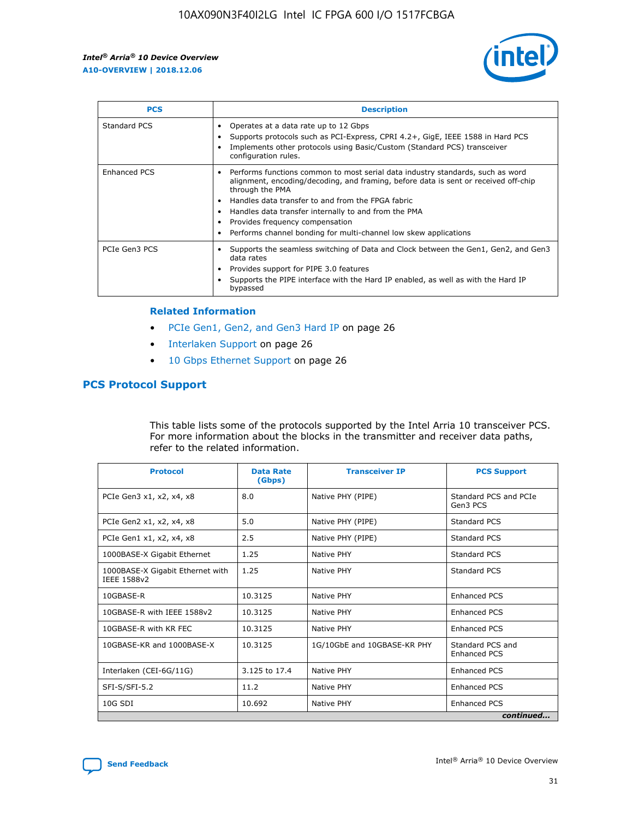

| <b>PCS</b>    | <b>Description</b>                                                                                                                                                                                                                                                                                                                                                                                                          |
|---------------|-----------------------------------------------------------------------------------------------------------------------------------------------------------------------------------------------------------------------------------------------------------------------------------------------------------------------------------------------------------------------------------------------------------------------------|
| Standard PCS  | Operates at a data rate up to 12 Gbps<br>Supports protocols such as PCI-Express, CPRI 4.2+, GigE, IEEE 1588 in Hard PCS<br>Implements other protocols using Basic/Custom (Standard PCS) transceiver<br>configuration rules.                                                                                                                                                                                                 |
| Enhanced PCS  | Performs functions common to most serial data industry standards, such as word<br>$\bullet$<br>alignment, encoding/decoding, and framing, before data is sent or received off-chip<br>through the PMA<br>• Handles data transfer to and from the FPGA fabric<br>Handles data transfer internally to and from the PMA<br>Provides frequency compensation<br>Performs channel bonding for multi-channel low skew applications |
| PCIe Gen3 PCS | Supports the seamless switching of Data and Clock between the Gen1, Gen2, and Gen3<br>data rates<br>Provides support for PIPE 3.0 features<br>Supports the PIPE interface with the Hard IP enabled, as well as with the Hard IP<br>bypassed                                                                                                                                                                                 |

#### **Related Information**

- PCIe Gen1, Gen2, and Gen3 Hard IP on page 26
- Interlaken Support on page 26
- 10 Gbps Ethernet Support on page 26

# **PCS Protocol Support**

This table lists some of the protocols supported by the Intel Arria 10 transceiver PCS. For more information about the blocks in the transmitter and receiver data paths, refer to the related information.

| <b>Protocol</b>                                 | <b>Data Rate</b><br>(Gbps) | <b>Transceiver IP</b>       | <b>PCS Support</b>                      |
|-------------------------------------------------|----------------------------|-----------------------------|-----------------------------------------|
| PCIe Gen3 x1, x2, x4, x8                        | 8.0                        | Native PHY (PIPE)           | Standard PCS and PCIe<br>Gen3 PCS       |
| PCIe Gen2 x1, x2, x4, x8                        | 5.0                        | Native PHY (PIPE)           | <b>Standard PCS</b>                     |
| PCIe Gen1 x1, x2, x4, x8                        | 2.5                        | Native PHY (PIPE)           | Standard PCS                            |
| 1000BASE-X Gigabit Ethernet                     | 1.25                       | Native PHY                  | <b>Standard PCS</b>                     |
| 1000BASE-X Gigabit Ethernet with<br>IEEE 1588v2 | 1.25                       | Native PHY                  | Standard PCS                            |
| 10GBASE-R                                       | 10.3125                    | Native PHY                  | <b>Enhanced PCS</b>                     |
| 10GBASE-R with IEEE 1588v2                      | 10.3125                    | Native PHY                  | <b>Enhanced PCS</b>                     |
| 10GBASE-R with KR FEC                           | 10.3125                    | Native PHY                  | <b>Enhanced PCS</b>                     |
| 10GBASE-KR and 1000BASE-X                       | 10.3125                    | 1G/10GbE and 10GBASE-KR PHY | Standard PCS and<br><b>Enhanced PCS</b> |
| Interlaken (CEI-6G/11G)                         | 3.125 to 17.4              | Native PHY                  | <b>Enhanced PCS</b>                     |
| SFI-S/SFI-5.2                                   | 11.2                       | Native PHY                  | <b>Enhanced PCS</b>                     |
| $10G$ SDI                                       | 10.692                     | Native PHY                  | <b>Enhanced PCS</b>                     |
|                                                 |                            |                             | continued                               |

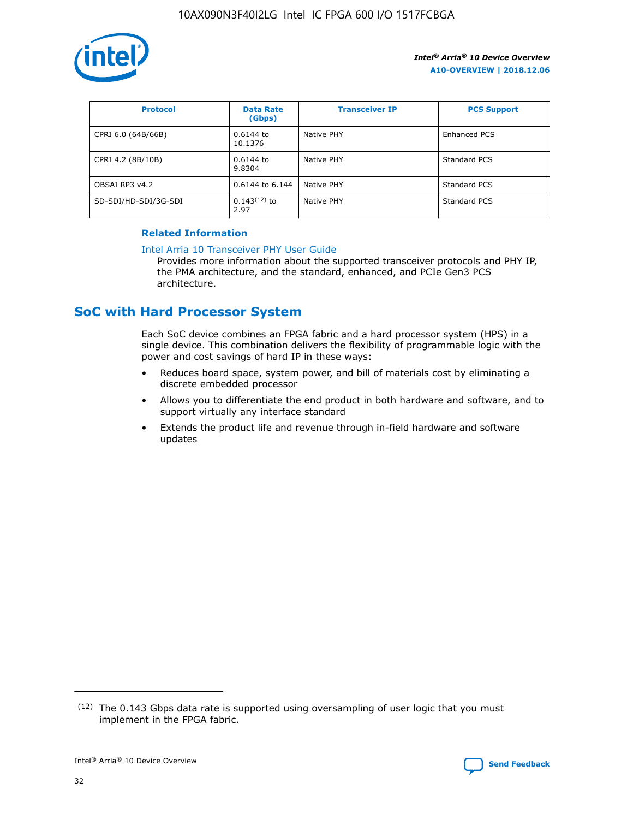

| <b>Protocol</b>      | <b>Data Rate</b><br>(Gbps) | <b>Transceiver IP</b> | <b>PCS Support</b> |
|----------------------|----------------------------|-----------------------|--------------------|
| CPRI 6.0 (64B/66B)   | 0.6144 to<br>10.1376       | Native PHY            | Enhanced PCS       |
| CPRI 4.2 (8B/10B)    | 0.6144 to<br>9.8304        | Native PHY            | Standard PCS       |
| OBSAI RP3 v4.2       | 0.6144 to 6.144            | Native PHY            | Standard PCS       |
| SD-SDI/HD-SDI/3G-SDI | $0.143(12)$ to<br>2.97     | Native PHY            | Standard PCS       |

## **Related Information**

#### [Intel Arria 10 Transceiver PHY User Guide](https://www.intel.com/content/www/us/en/programmable/documentation/nik1398707230472.html#nik1398707091164)

Provides more information about the supported transceiver protocols and PHY IP, the PMA architecture, and the standard, enhanced, and PCIe Gen3 PCS architecture.

# **SoC with Hard Processor System**

Each SoC device combines an FPGA fabric and a hard processor system (HPS) in a single device. This combination delivers the flexibility of programmable logic with the power and cost savings of hard IP in these ways:

- Reduces board space, system power, and bill of materials cost by eliminating a discrete embedded processor
- Allows you to differentiate the end product in both hardware and software, and to support virtually any interface standard
- Extends the product life and revenue through in-field hardware and software updates

 $(12)$  The 0.143 Gbps data rate is supported using oversampling of user logic that you must implement in the FPGA fabric.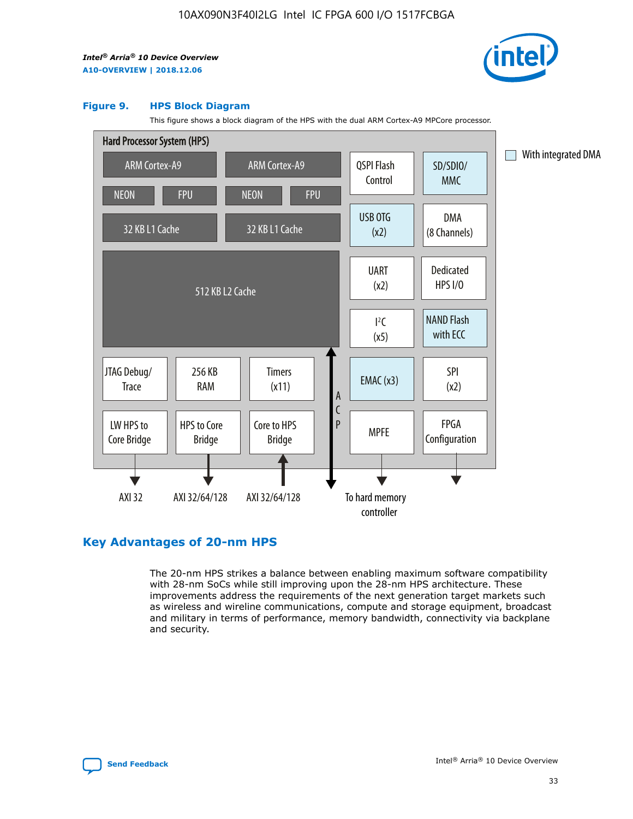

#### **Figure 9. HPS Block Diagram**

This figure shows a block diagram of the HPS with the dual ARM Cortex-A9 MPCore processor.



# **Key Advantages of 20-nm HPS**

The 20-nm HPS strikes a balance between enabling maximum software compatibility with 28-nm SoCs while still improving upon the 28-nm HPS architecture. These improvements address the requirements of the next generation target markets such as wireless and wireline communications, compute and storage equipment, broadcast and military in terms of performance, memory bandwidth, connectivity via backplane and security.

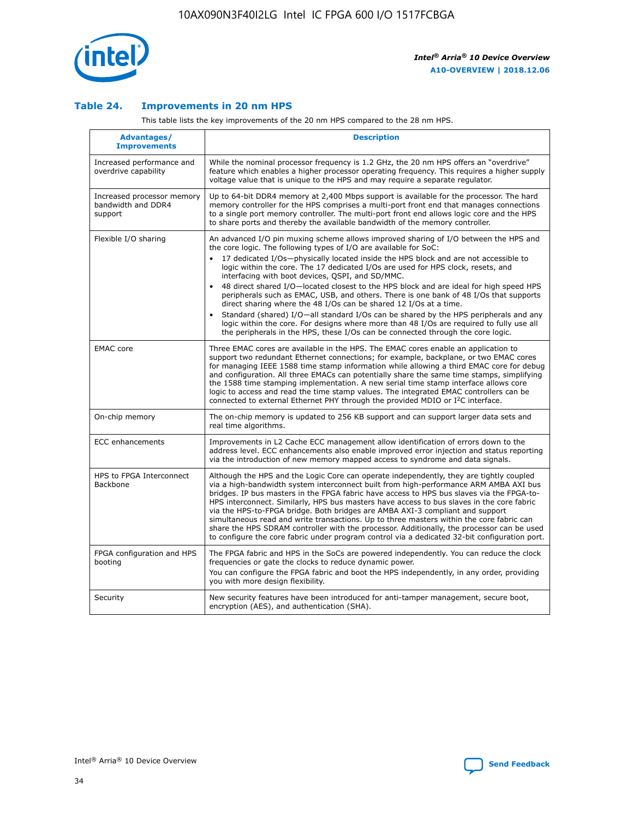

## **Table 24. Improvements in 20 nm HPS**

This table lists the key improvements of the 20 nm HPS compared to the 28 nm HPS.

| Advantages/<br><b>Improvements</b>                          | <b>Description</b>                                                                                                                                                                                                                                                                                                                                                                                                                                                                                                                                                                                                                                                                                                                                                                                                                                                                                                      |
|-------------------------------------------------------------|-------------------------------------------------------------------------------------------------------------------------------------------------------------------------------------------------------------------------------------------------------------------------------------------------------------------------------------------------------------------------------------------------------------------------------------------------------------------------------------------------------------------------------------------------------------------------------------------------------------------------------------------------------------------------------------------------------------------------------------------------------------------------------------------------------------------------------------------------------------------------------------------------------------------------|
| Increased performance and<br>overdrive capability           | While the nominal processor frequency is 1.2 GHz, the 20 nm HPS offers an "overdrive"<br>feature which enables a higher processor operating frequency. This requires a higher supply<br>voltage value that is unique to the HPS and may require a separate regulator.                                                                                                                                                                                                                                                                                                                                                                                                                                                                                                                                                                                                                                                   |
| Increased processor memory<br>bandwidth and DDR4<br>support | Up to 64-bit DDR4 memory at 2,400 Mbps support is available for the processor. The hard<br>memory controller for the HPS comprises a multi-port front end that manages connections<br>to a single port memory controller. The multi-port front end allows logic core and the HPS<br>to share ports and thereby the available bandwidth of the memory controller.                                                                                                                                                                                                                                                                                                                                                                                                                                                                                                                                                        |
| Flexible I/O sharing                                        | An advanced I/O pin muxing scheme allows improved sharing of I/O between the HPS and<br>the core logic. The following types of I/O are available for SoC:<br>17 dedicated I/Os-physically located inside the HPS block and are not accessible to<br>logic within the core. The 17 dedicated I/Os are used for HPS clock, resets, and<br>interfacing with boot devices, QSPI, and SD/MMC.<br>48 direct shared I/O-located closest to the HPS block and are ideal for high speed HPS<br>peripherals such as EMAC, USB, and others. There is one bank of 48 I/Os that supports<br>direct sharing where the 48 I/Os can be shared 12 I/Os at a time.<br>Standard (shared) I/O—all standard I/Os can be shared by the HPS peripherals and any<br>logic within the core. For designs where more than 48 I/Os are reguired to fully use all<br>the peripherals in the HPS, these I/Os can be connected through the core logic. |
| <b>EMAC</b> core                                            | Three EMAC cores are available in the HPS. The EMAC cores enable an application to<br>support two redundant Ethernet connections; for example, backplane, or two EMAC cores<br>for managing IEEE 1588 time stamp information while allowing a third EMAC core for debug<br>and configuration. All three EMACs can potentially share the same time stamps, simplifying<br>the 1588 time stamping implementation. A new serial time stamp interface allows core<br>logic to access and read the time stamp values. The integrated EMAC controllers can be<br>connected to external Ethernet PHY through the provided MDIO or I <sup>2</sup> C interface.                                                                                                                                                                                                                                                                  |
| On-chip memory                                              | The on-chip memory is updated to 256 KB support and can support larger data sets and<br>real time algorithms.                                                                                                                                                                                                                                                                                                                                                                                                                                                                                                                                                                                                                                                                                                                                                                                                           |
| <b>ECC</b> enhancements                                     | Improvements in L2 Cache ECC management allow identification of errors down to the<br>address level. ECC enhancements also enable improved error injection and status reporting<br>via the introduction of new memory mapped access to syndrome and data signals.                                                                                                                                                                                                                                                                                                                                                                                                                                                                                                                                                                                                                                                       |
| HPS to FPGA Interconnect<br>Backbone                        | Although the HPS and the Logic Core can operate independently, they are tightly coupled<br>via a high-bandwidth system interconnect built from high-performance ARM AMBA AXI bus<br>bridges. IP bus masters in the FPGA fabric have access to HPS bus slaves via the FPGA-to-<br>HPS interconnect. Similarly, HPS bus masters have access to bus slaves in the core fabric<br>via the HPS-to-FPGA bridge. Both bridges are AMBA AXI-3 compliant and support<br>simultaneous read and write transactions. Up to three masters within the core fabric can<br>share the HPS SDRAM controller with the processor. Additionally, the processor can be used<br>to configure the core fabric under program control via a dedicated 32-bit configuration port.                                                                                                                                                                  |
| FPGA configuration and HPS<br>booting                       | The FPGA fabric and HPS in the SoCs are powered independently. You can reduce the clock<br>frequencies or gate the clocks to reduce dynamic power.<br>You can configure the FPGA fabric and boot the HPS independently, in any order, providing<br>you with more design flexibility.                                                                                                                                                                                                                                                                                                                                                                                                                                                                                                                                                                                                                                    |
| Security                                                    | New security features have been introduced for anti-tamper management, secure boot,<br>encryption (AES), and authentication (SHA).                                                                                                                                                                                                                                                                                                                                                                                                                                                                                                                                                                                                                                                                                                                                                                                      |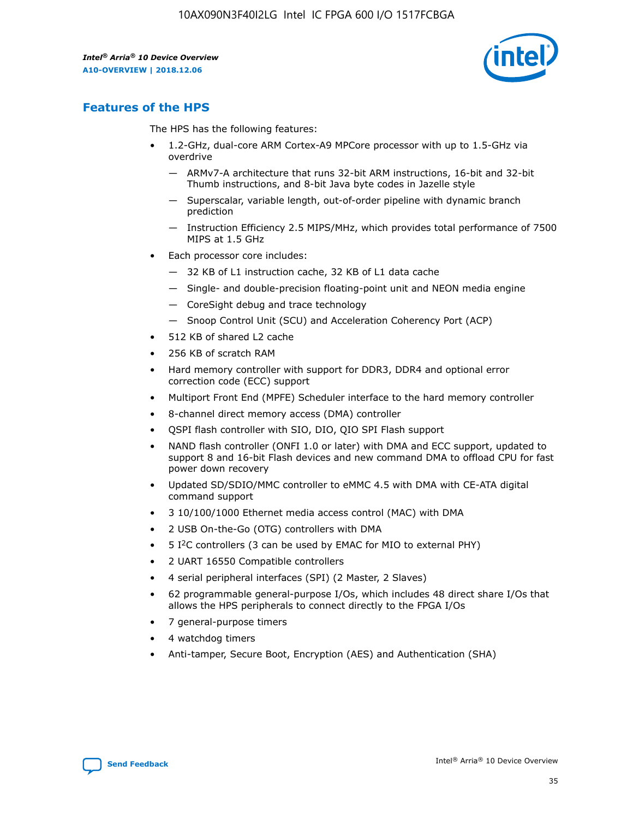

# **Features of the HPS**

The HPS has the following features:

- 1.2-GHz, dual-core ARM Cortex-A9 MPCore processor with up to 1.5-GHz via overdrive
	- ARMv7-A architecture that runs 32-bit ARM instructions, 16-bit and 32-bit Thumb instructions, and 8-bit Java byte codes in Jazelle style
	- Superscalar, variable length, out-of-order pipeline with dynamic branch prediction
	- Instruction Efficiency 2.5 MIPS/MHz, which provides total performance of 7500 MIPS at 1.5 GHz
- Each processor core includes:
	- 32 KB of L1 instruction cache, 32 KB of L1 data cache
	- Single- and double-precision floating-point unit and NEON media engine
	- CoreSight debug and trace technology
	- Snoop Control Unit (SCU) and Acceleration Coherency Port (ACP)
- 512 KB of shared L2 cache
- 256 KB of scratch RAM
- Hard memory controller with support for DDR3, DDR4 and optional error correction code (ECC) support
- Multiport Front End (MPFE) Scheduler interface to the hard memory controller
- 8-channel direct memory access (DMA) controller
- QSPI flash controller with SIO, DIO, QIO SPI Flash support
- NAND flash controller (ONFI 1.0 or later) with DMA and ECC support, updated to support 8 and 16-bit Flash devices and new command DMA to offload CPU for fast power down recovery
- Updated SD/SDIO/MMC controller to eMMC 4.5 with DMA with CE-ATA digital command support
- 3 10/100/1000 Ethernet media access control (MAC) with DMA
- 2 USB On-the-Go (OTG) controllers with DMA
- $\bullet$  5 I<sup>2</sup>C controllers (3 can be used by EMAC for MIO to external PHY)
- 2 UART 16550 Compatible controllers
- 4 serial peripheral interfaces (SPI) (2 Master, 2 Slaves)
- 62 programmable general-purpose I/Os, which includes 48 direct share I/Os that allows the HPS peripherals to connect directly to the FPGA I/Os
- 7 general-purpose timers
- 4 watchdog timers
- Anti-tamper, Secure Boot, Encryption (AES) and Authentication (SHA)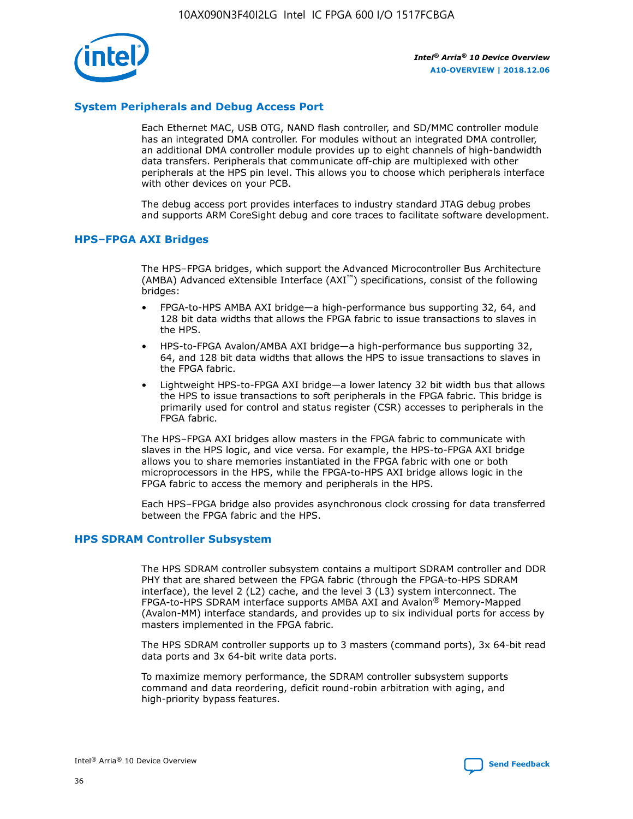

# **System Peripherals and Debug Access Port**

Each Ethernet MAC, USB OTG, NAND flash controller, and SD/MMC controller module has an integrated DMA controller. For modules without an integrated DMA controller, an additional DMA controller module provides up to eight channels of high-bandwidth data transfers. Peripherals that communicate off-chip are multiplexed with other peripherals at the HPS pin level. This allows you to choose which peripherals interface with other devices on your PCB.

The debug access port provides interfaces to industry standard JTAG debug probes and supports ARM CoreSight debug and core traces to facilitate software development.

#### **HPS–FPGA AXI Bridges**

The HPS–FPGA bridges, which support the Advanced Microcontroller Bus Architecture (AMBA) Advanced eXtensible Interface (AXI™) specifications, consist of the following bridges:

- FPGA-to-HPS AMBA AXI bridge—a high-performance bus supporting 32, 64, and 128 bit data widths that allows the FPGA fabric to issue transactions to slaves in the HPS.
- HPS-to-FPGA Avalon/AMBA AXI bridge—a high-performance bus supporting 32, 64, and 128 bit data widths that allows the HPS to issue transactions to slaves in the FPGA fabric.
- Lightweight HPS-to-FPGA AXI bridge—a lower latency 32 bit width bus that allows the HPS to issue transactions to soft peripherals in the FPGA fabric. This bridge is primarily used for control and status register (CSR) accesses to peripherals in the FPGA fabric.

The HPS–FPGA AXI bridges allow masters in the FPGA fabric to communicate with slaves in the HPS logic, and vice versa. For example, the HPS-to-FPGA AXI bridge allows you to share memories instantiated in the FPGA fabric with one or both microprocessors in the HPS, while the FPGA-to-HPS AXI bridge allows logic in the FPGA fabric to access the memory and peripherals in the HPS.

Each HPS–FPGA bridge also provides asynchronous clock crossing for data transferred between the FPGA fabric and the HPS.

#### **HPS SDRAM Controller Subsystem**

The HPS SDRAM controller subsystem contains a multiport SDRAM controller and DDR PHY that are shared between the FPGA fabric (through the FPGA-to-HPS SDRAM interface), the level 2 (L2) cache, and the level 3 (L3) system interconnect. The FPGA-to-HPS SDRAM interface supports AMBA AXI and Avalon® Memory-Mapped (Avalon-MM) interface standards, and provides up to six individual ports for access by masters implemented in the FPGA fabric.

The HPS SDRAM controller supports up to 3 masters (command ports), 3x 64-bit read data ports and 3x 64-bit write data ports.

To maximize memory performance, the SDRAM controller subsystem supports command and data reordering, deficit round-robin arbitration with aging, and high-priority bypass features.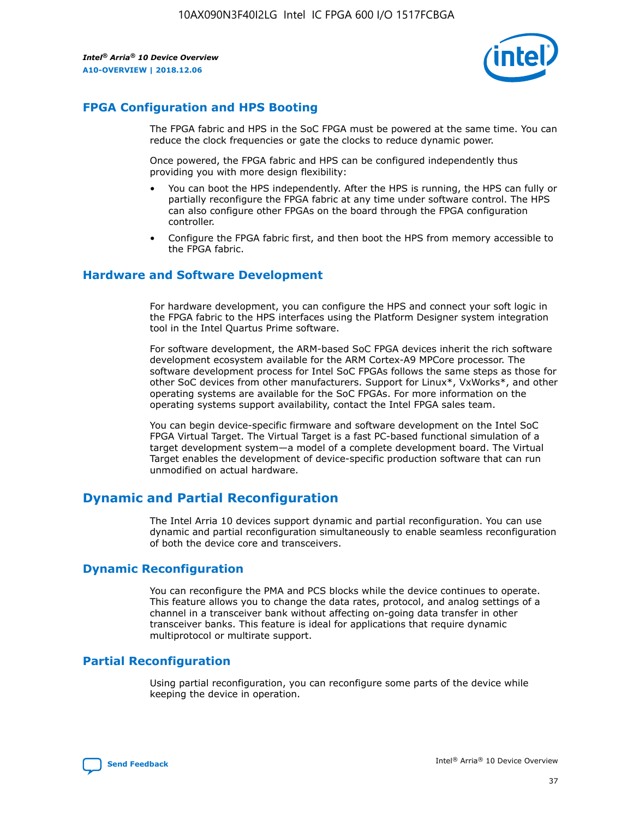

# **FPGA Configuration and HPS Booting**

The FPGA fabric and HPS in the SoC FPGA must be powered at the same time. You can reduce the clock frequencies or gate the clocks to reduce dynamic power.

Once powered, the FPGA fabric and HPS can be configured independently thus providing you with more design flexibility:

- You can boot the HPS independently. After the HPS is running, the HPS can fully or partially reconfigure the FPGA fabric at any time under software control. The HPS can also configure other FPGAs on the board through the FPGA configuration controller.
- Configure the FPGA fabric first, and then boot the HPS from memory accessible to the FPGA fabric.

## **Hardware and Software Development**

For hardware development, you can configure the HPS and connect your soft logic in the FPGA fabric to the HPS interfaces using the Platform Designer system integration tool in the Intel Quartus Prime software.

For software development, the ARM-based SoC FPGA devices inherit the rich software development ecosystem available for the ARM Cortex-A9 MPCore processor. The software development process for Intel SoC FPGAs follows the same steps as those for other SoC devices from other manufacturers. Support for Linux\*, VxWorks\*, and other operating systems are available for the SoC FPGAs. For more information on the operating systems support availability, contact the Intel FPGA sales team.

You can begin device-specific firmware and software development on the Intel SoC FPGA Virtual Target. The Virtual Target is a fast PC-based functional simulation of a target development system—a model of a complete development board. The Virtual Target enables the development of device-specific production software that can run unmodified on actual hardware.

# **Dynamic and Partial Reconfiguration**

The Intel Arria 10 devices support dynamic and partial reconfiguration. You can use dynamic and partial reconfiguration simultaneously to enable seamless reconfiguration of both the device core and transceivers.

# **Dynamic Reconfiguration**

You can reconfigure the PMA and PCS blocks while the device continues to operate. This feature allows you to change the data rates, protocol, and analog settings of a channel in a transceiver bank without affecting on-going data transfer in other transceiver banks. This feature is ideal for applications that require dynamic multiprotocol or multirate support.

# **Partial Reconfiguration**

Using partial reconfiguration, you can reconfigure some parts of the device while keeping the device in operation.

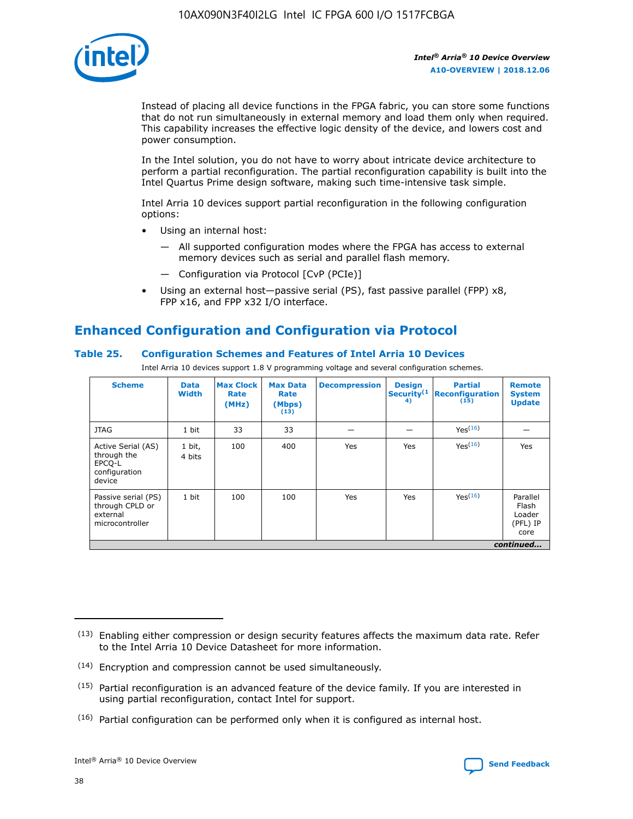

Instead of placing all device functions in the FPGA fabric, you can store some functions that do not run simultaneously in external memory and load them only when required. This capability increases the effective logic density of the device, and lowers cost and power consumption.

In the Intel solution, you do not have to worry about intricate device architecture to perform a partial reconfiguration. The partial reconfiguration capability is built into the Intel Quartus Prime design software, making such time-intensive task simple.

Intel Arria 10 devices support partial reconfiguration in the following configuration options:

- Using an internal host:
	- All supported configuration modes where the FPGA has access to external memory devices such as serial and parallel flash memory.
	- Configuration via Protocol [CvP (PCIe)]
- Using an external host—passive serial (PS), fast passive parallel (FPP) x8, FPP x16, and FPP x32 I/O interface.

# **Enhanced Configuration and Configuration via Protocol**

# **Table 25. Configuration Schemes and Features of Intel Arria 10 Devices**

Intel Arria 10 devices support 1.8 V programming voltage and several configuration schemes.

| <b>Scheme</b>                                                          | <b>Data</b><br><b>Width</b> | <b>Max Clock</b><br>Rate<br>(MHz) | <b>Max Data</b><br>Rate<br>(Mbps)<br>(13) | <b>Decompression</b> | <b>Design</b><br>Security <sup>(1</sup><br>4) | <b>Partial</b><br><b>Reconfiguration</b><br>(15) | <b>Remote</b><br><b>System</b><br><b>Update</b> |
|------------------------------------------------------------------------|-----------------------------|-----------------------------------|-------------------------------------------|----------------------|-----------------------------------------------|--------------------------------------------------|-------------------------------------------------|
| <b>JTAG</b>                                                            | 1 bit                       | 33                                | 33                                        |                      |                                               | Yes(16)                                          |                                                 |
| Active Serial (AS)<br>through the<br>EPCO-L<br>configuration<br>device | 1 bit,<br>4 bits            | 100                               | 400                                       | Yes                  | Yes                                           | $Y_{PS}(16)$                                     | Yes                                             |
| Passive serial (PS)<br>through CPLD or<br>external<br>microcontroller  | 1 bit                       | 100                               | 100                                       | Yes                  | Yes                                           | Yes(16)                                          | Parallel<br>Flash<br>Loader<br>(PFL) IP<br>core |
|                                                                        |                             |                                   |                                           |                      |                                               |                                                  | continued                                       |

<sup>(13)</sup> Enabling either compression or design security features affects the maximum data rate. Refer to the Intel Arria 10 Device Datasheet for more information.

<sup>(14)</sup> Encryption and compression cannot be used simultaneously.

 $<sup>(15)</sup>$  Partial reconfiguration is an advanced feature of the device family. If you are interested in</sup> using partial reconfiguration, contact Intel for support.

 $(16)$  Partial configuration can be performed only when it is configured as internal host.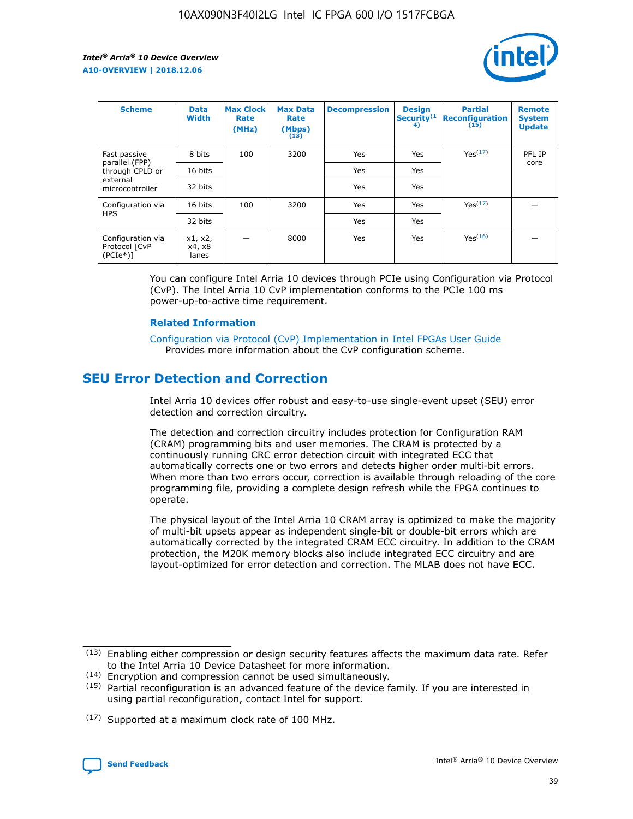

| <b>Scheme</b>                                    | <b>Data</b><br><b>Width</b> | <b>Max Clock</b><br>Rate<br>(MHz) | <b>Max Data</b><br>Rate<br>(Mbps)<br>(13) | <b>Decompression</b> | <b>Design</b><br>Security <sup>(1</sup><br>4) | <b>Partial</b><br><b>Reconfiguration</b><br>(15) | <b>Remote</b><br><b>System</b><br><b>Update</b> |
|--------------------------------------------------|-----------------------------|-----------------------------------|-------------------------------------------|----------------------|-----------------------------------------------|--------------------------------------------------|-------------------------------------------------|
| Fast passive                                     | 8 bits                      | 100                               | 3200                                      | Yes                  | Yes                                           | Yes(17)                                          | PFL IP                                          |
| parallel (FPP)<br>through CPLD or                | 16 bits                     |                                   |                                           | Yes                  | Yes                                           |                                                  | core                                            |
| external<br>microcontroller                      | 32 bits                     |                                   |                                           | Yes                  | Yes                                           |                                                  |                                                 |
| Configuration via                                | 16 bits                     | 100                               | 3200                                      | Yes                  | Yes                                           | Yes <sup>(17)</sup>                              |                                                 |
| <b>HPS</b>                                       | 32 bits                     |                                   |                                           | Yes                  | Yes                                           |                                                  |                                                 |
| Configuration via<br>Protocol [CvP<br>$(PCIe^*)$ | x1, x2,<br>x4, x8<br>lanes  |                                   | 8000                                      | Yes                  | Yes                                           | Yes(16)                                          |                                                 |

You can configure Intel Arria 10 devices through PCIe using Configuration via Protocol (CvP). The Intel Arria 10 CvP implementation conforms to the PCIe 100 ms power-up-to-active time requirement.

#### **Related Information**

[Configuration via Protocol \(CvP\) Implementation in Intel FPGAs User Guide](https://www.intel.com/content/www/us/en/programmable/documentation/dsu1441819344145.html#dsu1442269728522) Provides more information about the CvP configuration scheme.

# **SEU Error Detection and Correction**

Intel Arria 10 devices offer robust and easy-to-use single-event upset (SEU) error detection and correction circuitry.

The detection and correction circuitry includes protection for Configuration RAM (CRAM) programming bits and user memories. The CRAM is protected by a continuously running CRC error detection circuit with integrated ECC that automatically corrects one or two errors and detects higher order multi-bit errors. When more than two errors occur, correction is available through reloading of the core programming file, providing a complete design refresh while the FPGA continues to operate.

The physical layout of the Intel Arria 10 CRAM array is optimized to make the majority of multi-bit upsets appear as independent single-bit or double-bit errors which are automatically corrected by the integrated CRAM ECC circuitry. In addition to the CRAM protection, the M20K memory blocks also include integrated ECC circuitry and are layout-optimized for error detection and correction. The MLAB does not have ECC.

(14) Encryption and compression cannot be used simultaneously.

<sup>(17)</sup> Supported at a maximum clock rate of 100 MHz.



 $(13)$  Enabling either compression or design security features affects the maximum data rate. Refer to the Intel Arria 10 Device Datasheet for more information.

 $(15)$  Partial reconfiguration is an advanced feature of the device family. If you are interested in using partial reconfiguration, contact Intel for support.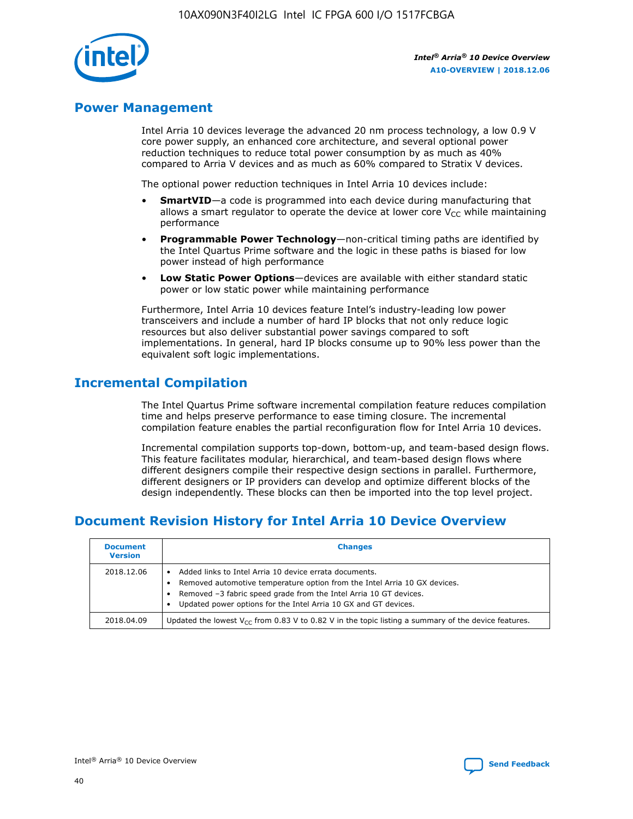

# **Power Management**

Intel Arria 10 devices leverage the advanced 20 nm process technology, a low 0.9 V core power supply, an enhanced core architecture, and several optional power reduction techniques to reduce total power consumption by as much as 40% compared to Arria V devices and as much as 60% compared to Stratix V devices.

The optional power reduction techniques in Intel Arria 10 devices include:

- **SmartVID**—a code is programmed into each device during manufacturing that allows a smart regulator to operate the device at lower core  $V_{CC}$  while maintaining performance
- **Programmable Power Technology**—non-critical timing paths are identified by the Intel Quartus Prime software and the logic in these paths is biased for low power instead of high performance
- **Low Static Power Options**—devices are available with either standard static power or low static power while maintaining performance

Furthermore, Intel Arria 10 devices feature Intel's industry-leading low power transceivers and include a number of hard IP blocks that not only reduce logic resources but also deliver substantial power savings compared to soft implementations. In general, hard IP blocks consume up to 90% less power than the equivalent soft logic implementations.

# **Incremental Compilation**

The Intel Quartus Prime software incremental compilation feature reduces compilation time and helps preserve performance to ease timing closure. The incremental compilation feature enables the partial reconfiguration flow for Intel Arria 10 devices.

Incremental compilation supports top-down, bottom-up, and team-based design flows. This feature facilitates modular, hierarchical, and team-based design flows where different designers compile their respective design sections in parallel. Furthermore, different designers or IP providers can develop and optimize different blocks of the design independently. These blocks can then be imported into the top level project.

# **Document Revision History for Intel Arria 10 Device Overview**

| <b>Document</b><br><b>Version</b> | <b>Changes</b>                                                                                                                                                                                                                                                              |
|-----------------------------------|-----------------------------------------------------------------------------------------------------------------------------------------------------------------------------------------------------------------------------------------------------------------------------|
| 2018.12.06                        | Added links to Intel Arria 10 device errata documents.<br>Removed automotive temperature option from the Intel Arria 10 GX devices.<br>Removed -3 fabric speed grade from the Intel Arria 10 GT devices.<br>Updated power options for the Intel Arria 10 GX and GT devices. |
| 2018.04.09                        | Updated the lowest $V_{CC}$ from 0.83 V to 0.82 V in the topic listing a summary of the device features.                                                                                                                                                                    |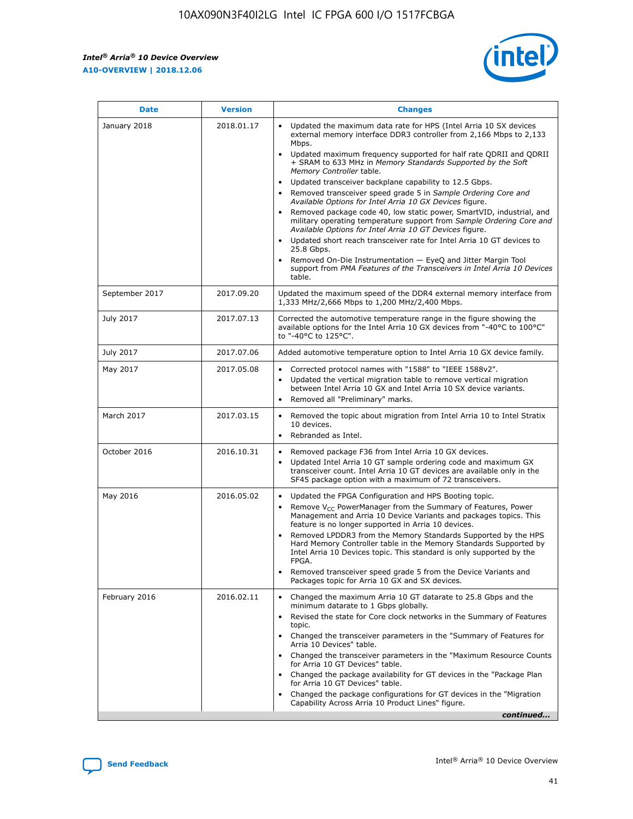*Intel® Arria® 10 Device Overview* **A10-OVERVIEW | 2018.12.06**



| <b>Date</b>    | <b>Version</b> | <b>Changes</b>                                                                                                                                                                                                                                                                                                                                                                                                                                                                                                                                                                                                                                                                                                                                                                                                                                                                                                                                                            |
|----------------|----------------|---------------------------------------------------------------------------------------------------------------------------------------------------------------------------------------------------------------------------------------------------------------------------------------------------------------------------------------------------------------------------------------------------------------------------------------------------------------------------------------------------------------------------------------------------------------------------------------------------------------------------------------------------------------------------------------------------------------------------------------------------------------------------------------------------------------------------------------------------------------------------------------------------------------------------------------------------------------------------|
| January 2018   | 2018.01.17     | Updated the maximum data rate for HPS (Intel Arria 10 SX devices<br>external memory interface DDR3 controller from 2,166 Mbps to 2,133<br>Mbps.<br>Updated maximum frequency supported for half rate QDRII and QDRII<br>+ SRAM to 633 MHz in Memory Standards Supported by the Soft<br>Memory Controller table.<br>Updated transceiver backplane capability to 12.5 Gbps.<br>$\bullet$<br>Removed transceiver speed grade 5 in Sample Ordering Core and<br>Available Options for Intel Arria 10 GX Devices figure.<br>Removed package code 40, low static power, SmartVID, industrial, and<br>military operating temperature support from Sample Ordering Core and<br>Available Options for Intel Arria 10 GT Devices figure.<br>Updated short reach transceiver rate for Intel Arria 10 GT devices to<br>25.8 Gbps.<br>Removed On-Die Instrumentation - EyeQ and Jitter Margin Tool<br>support from PMA Features of the Transceivers in Intel Arria 10 Devices<br>table. |
| September 2017 | 2017.09.20     | Updated the maximum speed of the DDR4 external memory interface from<br>1,333 MHz/2,666 Mbps to 1,200 MHz/2,400 Mbps.                                                                                                                                                                                                                                                                                                                                                                                                                                                                                                                                                                                                                                                                                                                                                                                                                                                     |
| July 2017      | 2017.07.13     | Corrected the automotive temperature range in the figure showing the<br>available options for the Intel Arria 10 GX devices from "-40°C to 100°C"<br>to "-40°C to 125°C".                                                                                                                                                                                                                                                                                                                                                                                                                                                                                                                                                                                                                                                                                                                                                                                                 |
| July 2017      | 2017.07.06     | Added automotive temperature option to Intel Arria 10 GX device family.                                                                                                                                                                                                                                                                                                                                                                                                                                                                                                                                                                                                                                                                                                                                                                                                                                                                                                   |
| May 2017       | 2017.05.08     | Corrected protocol names with "1588" to "IEEE 1588v2".<br>Updated the vertical migration table to remove vertical migration<br>between Intel Arria 10 GX and Intel Arria 10 SX device variants.<br>Removed all "Preliminary" marks.                                                                                                                                                                                                                                                                                                                                                                                                                                                                                                                                                                                                                                                                                                                                       |
| March 2017     | 2017.03.15     | Removed the topic about migration from Intel Arria 10 to Intel Stratix<br>10 devices.<br>Rebranded as Intel.<br>$\bullet$                                                                                                                                                                                                                                                                                                                                                                                                                                                                                                                                                                                                                                                                                                                                                                                                                                                 |
| October 2016   | 2016.10.31     | Removed package F36 from Intel Arria 10 GX devices.<br>Updated Intel Arria 10 GT sample ordering code and maximum GX<br>$\bullet$<br>transceiver count. Intel Arria 10 GT devices are available only in the<br>SF45 package option with a maximum of 72 transceivers.                                                                                                                                                                                                                                                                                                                                                                                                                                                                                                                                                                                                                                                                                                     |
| May 2016       | 2016.05.02     | Updated the FPGA Configuration and HPS Booting topic.<br>Remove V <sub>CC</sub> PowerManager from the Summary of Features, Power<br>Management and Arria 10 Device Variants and packages topics. This<br>feature is no longer supported in Arria 10 devices.<br>Removed LPDDR3 from the Memory Standards Supported by the HPS<br>Hard Memory Controller table in the Memory Standards Supported by<br>Intel Arria 10 Devices topic. This standard is only supported by the<br>FPGA.<br>Removed transceiver speed grade 5 from the Device Variants and<br>Packages topic for Arria 10 GX and SX devices.                                                                                                                                                                                                                                                                                                                                                                   |
| February 2016  | 2016.02.11     | Changed the maximum Arria 10 GT datarate to 25.8 Gbps and the<br>minimum datarate to 1 Gbps globally.<br>Revised the state for Core clock networks in the Summary of Features<br>$\bullet$<br>topic.<br>Changed the transceiver parameters in the "Summary of Features for<br>Arria 10 Devices" table.<br>• Changed the transceiver parameters in the "Maximum Resource Counts<br>for Arria 10 GT Devices" table.<br>• Changed the package availability for GT devices in the "Package Plan<br>for Arria 10 GT Devices" table.<br>Changed the package configurations for GT devices in the "Migration"<br>Capability Across Arria 10 Product Lines" figure.<br>continued                                                                                                                                                                                                                                                                                                  |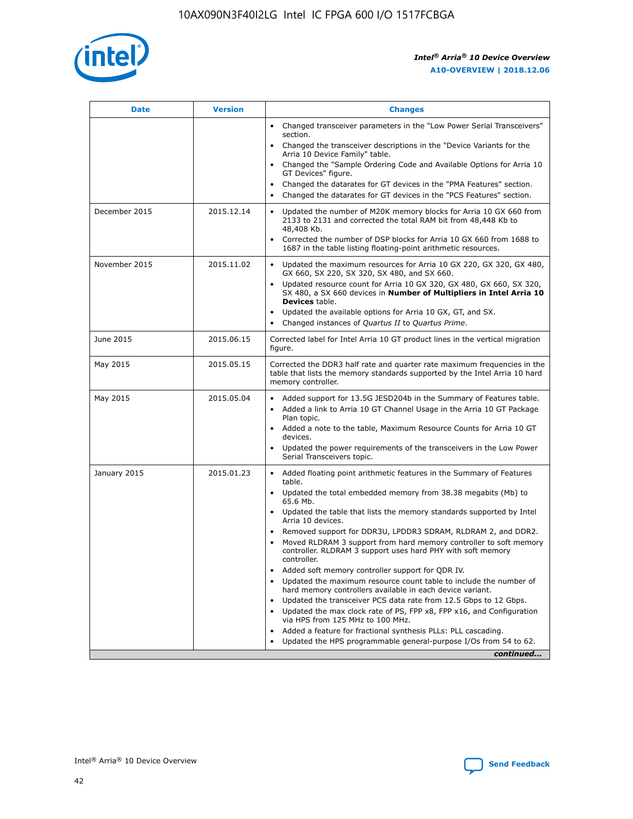

| <b>Date</b>   | <b>Version</b> | <b>Changes</b>                                                                                                                                                               |
|---------------|----------------|------------------------------------------------------------------------------------------------------------------------------------------------------------------------------|
|               |                | • Changed transceiver parameters in the "Low Power Serial Transceivers"<br>section.                                                                                          |
|               |                | • Changed the transceiver descriptions in the "Device Variants for the<br>Arria 10 Device Family" table.                                                                     |
|               |                | Changed the "Sample Ordering Code and Available Options for Arria 10<br>$\bullet$<br>GT Devices" figure.                                                                     |
|               |                | Changed the datarates for GT devices in the "PMA Features" section.                                                                                                          |
|               |                | Changed the datarates for GT devices in the "PCS Features" section.<br>$\bullet$                                                                                             |
| December 2015 | 2015.12.14     | Updated the number of M20K memory blocks for Arria 10 GX 660 from<br>2133 to 2131 and corrected the total RAM bit from 48,448 Kb to<br>48,408 Kb.                            |
|               |                | Corrected the number of DSP blocks for Arria 10 GX 660 from 1688 to<br>1687 in the table listing floating-point arithmetic resources.                                        |
| November 2015 | 2015.11.02     | Updated the maximum resources for Arria 10 GX 220, GX 320, GX 480,<br>$\bullet$<br>GX 660, SX 220, SX 320, SX 480, and SX 660.                                               |
|               |                | • Updated resource count for Arria 10 GX 320, GX 480, GX 660, SX 320,<br>SX 480, a SX 660 devices in Number of Multipliers in Intel Arria 10<br><b>Devices</b> table.        |
|               |                | Updated the available options for Arria 10 GX, GT, and SX.                                                                                                                   |
|               |                | Changed instances of Quartus II to Quartus Prime.<br>$\bullet$                                                                                                               |
| June 2015     | 2015.06.15     | Corrected label for Intel Arria 10 GT product lines in the vertical migration<br>figure.                                                                                     |
| May 2015      | 2015.05.15     | Corrected the DDR3 half rate and quarter rate maximum frequencies in the<br>table that lists the memory standards supported by the Intel Arria 10 hard<br>memory controller. |
| May 2015      | 2015.05.04     | • Added support for 13.5G JESD204b in the Summary of Features table.                                                                                                         |
|               |                | • Added a link to Arria 10 GT Channel Usage in the Arria 10 GT Package<br>Plan topic.                                                                                        |
|               |                | • Added a note to the table, Maximum Resource Counts for Arria 10 GT<br>devices.                                                                                             |
|               |                | • Updated the power requirements of the transceivers in the Low Power<br>Serial Transceivers topic.                                                                          |
| January 2015  | 2015.01.23     | • Added floating point arithmetic features in the Summary of Features<br>table.                                                                                              |
|               |                | • Updated the total embedded memory from 38.38 megabits (Mb) to<br>65.6 Mb.                                                                                                  |
|               |                | • Updated the table that lists the memory standards supported by Intel<br>Arria 10 devices.                                                                                  |
|               |                | Removed support for DDR3U, LPDDR3 SDRAM, RLDRAM 2, and DDR2.                                                                                                                 |
|               |                | Moved RLDRAM 3 support from hard memory controller to soft memory<br>controller. RLDRAM 3 support uses hard PHY with soft memory<br>controller.                              |
|               |                | Added soft memory controller support for QDR IV.<br>٠                                                                                                                        |
|               |                | Updated the maximum resource count table to include the number of<br>hard memory controllers available in each device variant.                                               |
|               |                | Updated the transceiver PCS data rate from 12.5 Gbps to 12 Gbps.<br>$\bullet$                                                                                                |
|               |                | Updated the max clock rate of PS, FPP x8, FPP x16, and Configuration<br>via HPS from 125 MHz to 100 MHz.                                                                     |
|               |                | Added a feature for fractional synthesis PLLs: PLL cascading.                                                                                                                |
|               |                | Updated the HPS programmable general-purpose I/Os from 54 to 62.<br>$\bullet$                                                                                                |
|               |                | continued                                                                                                                                                                    |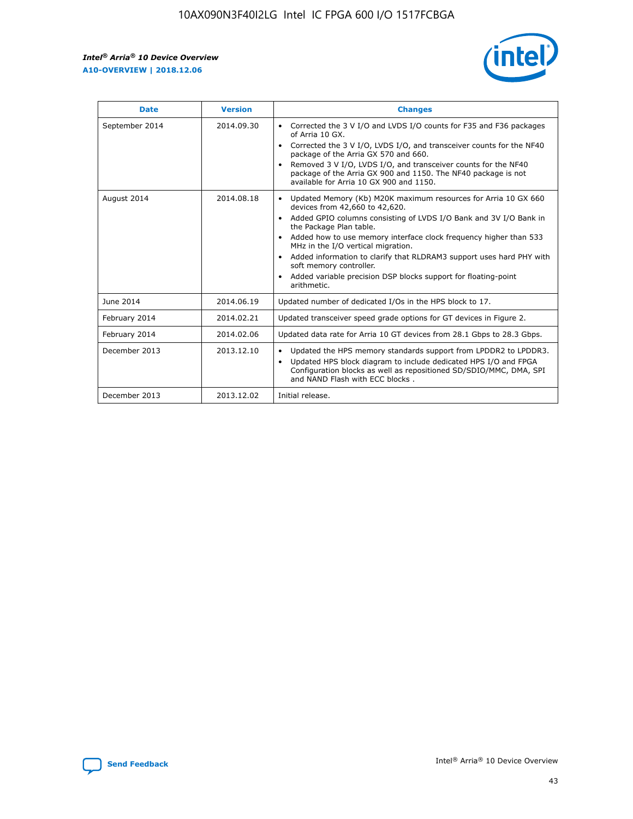r



| <b>Date</b>    | <b>Version</b> | <b>Changes</b>                                                                                                                                                                                                                                                                                                                                                                                                                                                                                                                                      |
|----------------|----------------|-----------------------------------------------------------------------------------------------------------------------------------------------------------------------------------------------------------------------------------------------------------------------------------------------------------------------------------------------------------------------------------------------------------------------------------------------------------------------------------------------------------------------------------------------------|
| September 2014 | 2014.09.30     | Corrected the 3 V I/O and LVDS I/O counts for F35 and F36 packages<br>$\bullet$<br>of Arria 10 GX.<br>Corrected the 3 V I/O, LVDS I/O, and transceiver counts for the NF40<br>$\bullet$<br>package of the Arria GX 570 and 660.<br>Removed 3 V I/O, LVDS I/O, and transceiver counts for the NF40<br>package of the Arria GX 900 and 1150. The NF40 package is not<br>available for Arria 10 GX 900 and 1150.                                                                                                                                       |
| August 2014    | 2014.08.18     | Updated Memory (Kb) M20K maximum resources for Arria 10 GX 660<br>devices from 42,660 to 42,620.<br>Added GPIO columns consisting of LVDS I/O Bank and 3V I/O Bank in<br>$\bullet$<br>the Package Plan table.<br>Added how to use memory interface clock frequency higher than 533<br>$\bullet$<br>MHz in the I/O vertical migration.<br>Added information to clarify that RLDRAM3 support uses hard PHY with<br>$\bullet$<br>soft memory controller.<br>Added variable precision DSP blocks support for floating-point<br>$\bullet$<br>arithmetic. |
| June 2014      | 2014.06.19     | Updated number of dedicated I/Os in the HPS block to 17.                                                                                                                                                                                                                                                                                                                                                                                                                                                                                            |
| February 2014  | 2014.02.21     | Updated transceiver speed grade options for GT devices in Figure 2.                                                                                                                                                                                                                                                                                                                                                                                                                                                                                 |
| February 2014  | 2014.02.06     | Updated data rate for Arria 10 GT devices from 28.1 Gbps to 28.3 Gbps.                                                                                                                                                                                                                                                                                                                                                                                                                                                                              |
| December 2013  | 2013.12.10     | Updated the HPS memory standards support from LPDDR2 to LPDDR3.<br>Updated HPS block diagram to include dedicated HPS I/O and FPGA<br>$\bullet$<br>Configuration blocks as well as repositioned SD/SDIO/MMC, DMA, SPI<br>and NAND Flash with ECC blocks.                                                                                                                                                                                                                                                                                            |
| December 2013  | 2013.12.02     | Initial release.                                                                                                                                                                                                                                                                                                                                                                                                                                                                                                                                    |